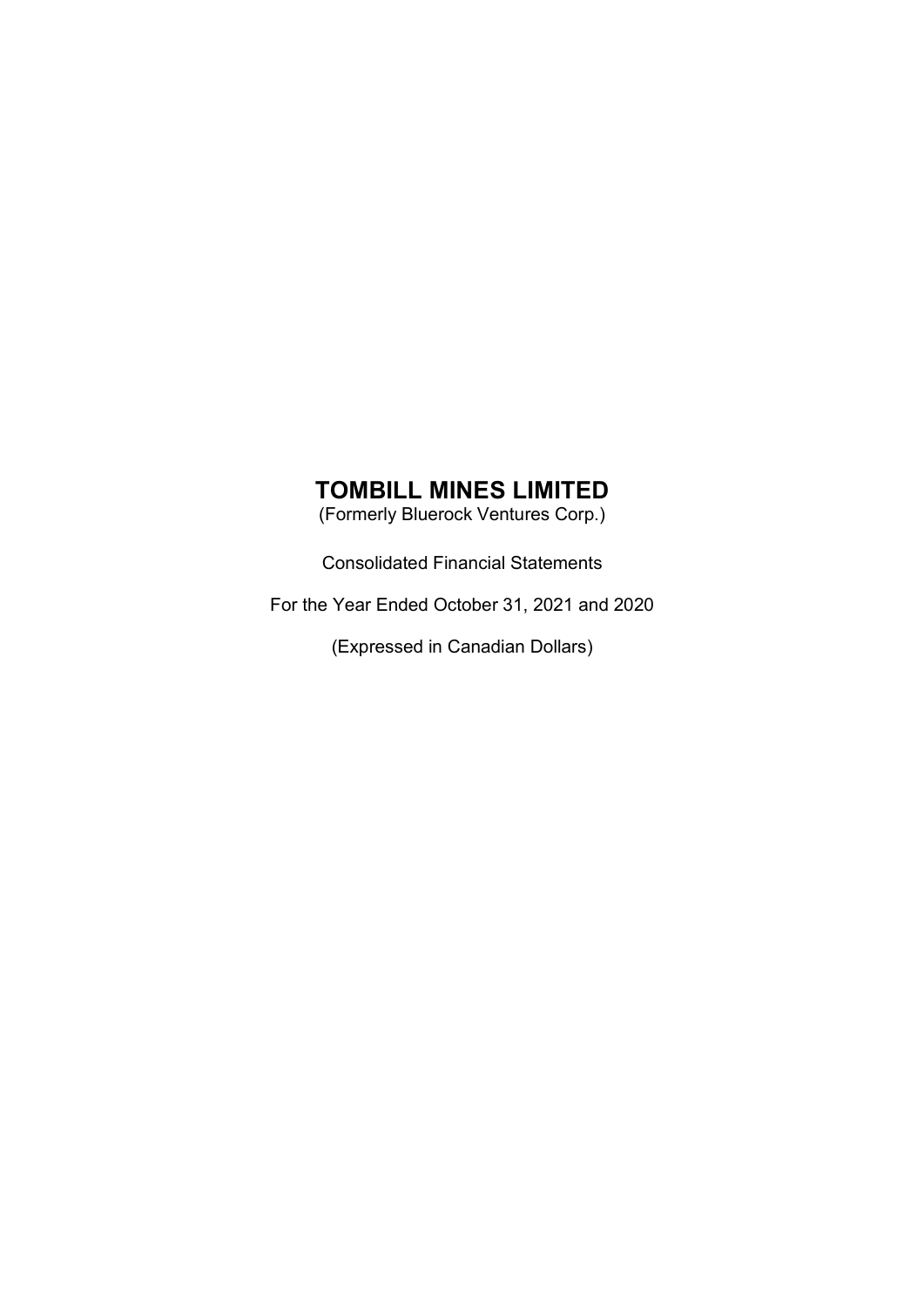(Formerly Bluerock Ventures Corp.)

Consolidated Financial Statements

For the Year Ended October 31, 2021 and 2020

(Expressed in Canadian Dollars)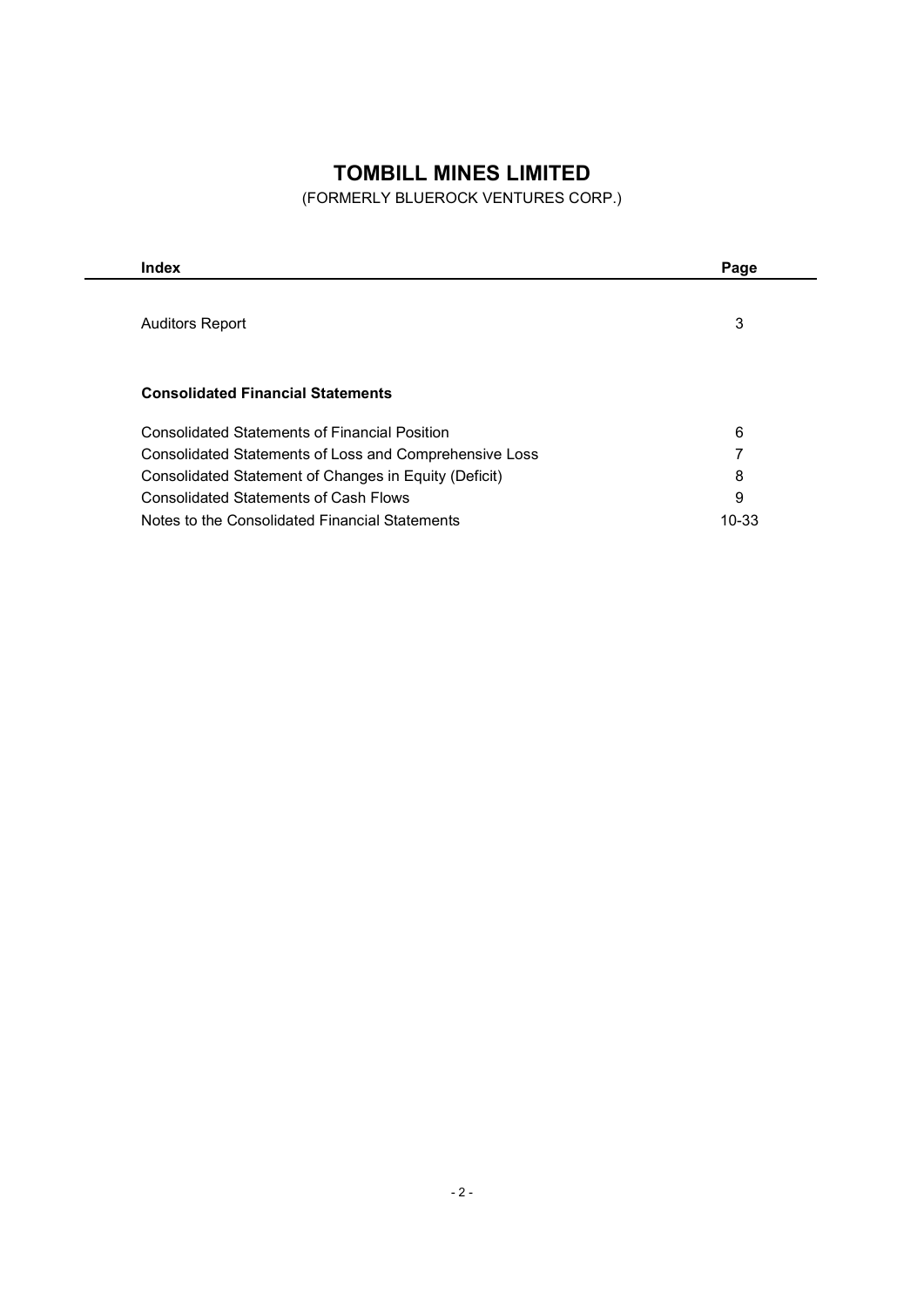(FORMERLY BLUEROCK VENTURES CORP.)

| <b>Index</b>                                           | Page  |
|--------------------------------------------------------|-------|
|                                                        |       |
| <b>Auditors Report</b>                                 | 3     |
|                                                        |       |
| <b>Consolidated Financial Statements</b>               |       |
| <b>Consolidated Statements of Financial Position</b>   | 6     |
| Consolidated Statements of Loss and Comprehensive Loss | 7     |
| Consolidated Statement of Changes in Equity (Deficit)  | 8     |
| <b>Consolidated Statements of Cash Flows</b>           | 9     |
| Notes to the Consolidated Financial Statements         | 10-33 |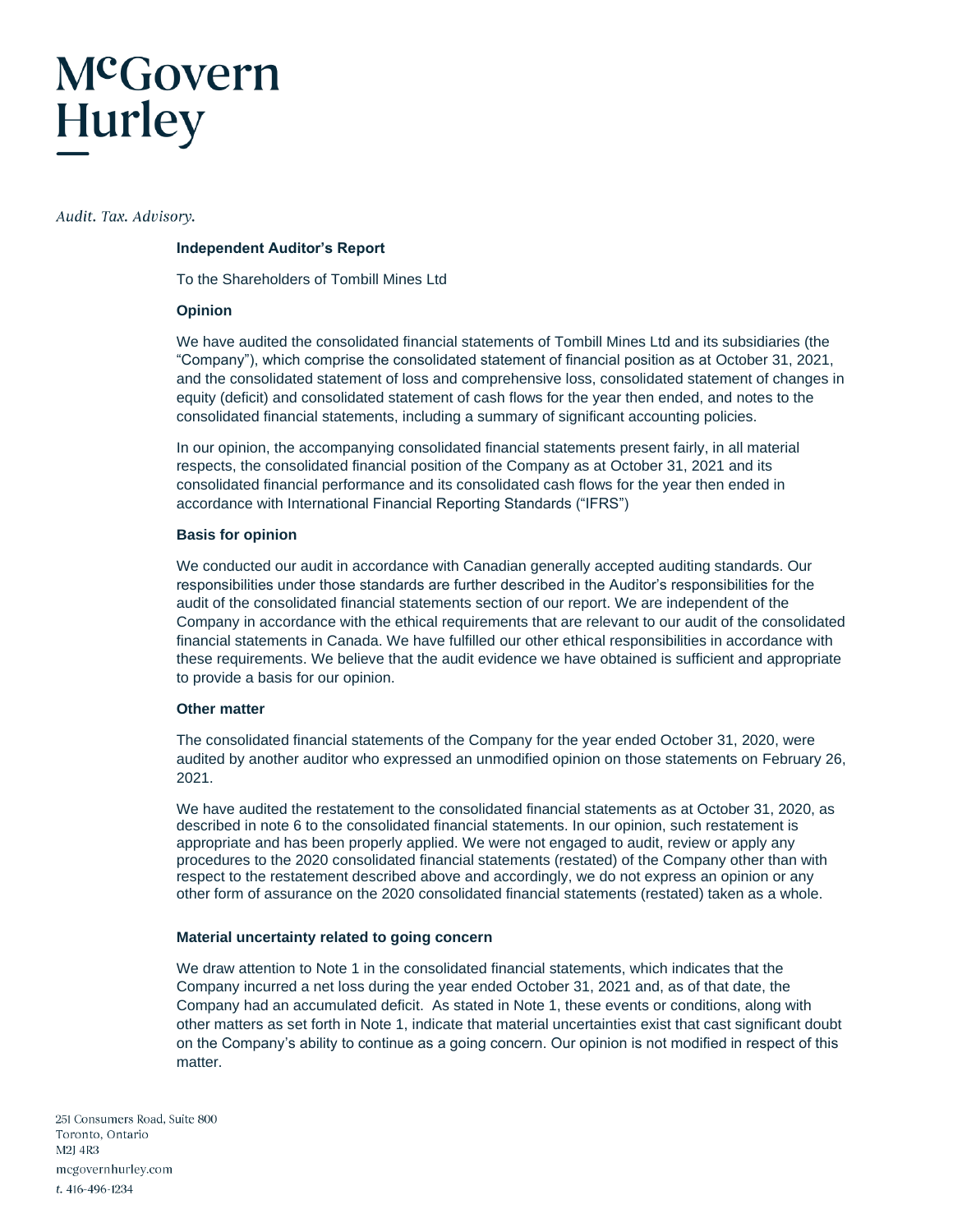# McGovern **Hurley**

Audit. Tax. Advisory.

### **Independent Auditor's Report**

To the Shareholders of Tombill Mines Ltd

### **Opinion**

We have audited the consolidated financial statements of Tombill Mines Ltd and its subsidiaries (the "Company"), which comprise the consolidated statement of financial position as at October 31, 2021, and the consolidated statement of loss and comprehensive loss, consolidated statement of changes in equity (deficit) and consolidated statement of cash flows for the year then ended, and notes to the consolidated financial statements, including a summary of significant accounting policies.

In our opinion, the accompanying consolidated financial statements present fairly, in all material respects, the consolidated financial position of the Company as at October 31, 2021 and its consolidated financial performance and its consolidated cash flows for the year then ended in accordance with International Financial Reporting Standards ("IFRS")

#### **Basis for opinion**

We conducted our audit in accordance with Canadian generally accepted auditing standards. Our responsibilities under those standards are further described in the Auditor's responsibilities for the audit of the consolidated financial statements section of our report. We are independent of the Company in accordance with the ethical requirements that are relevant to our audit of the consolidated financial statements in Canada. We have fulfilled our other ethical responsibilities in accordance with these requirements. We believe that the audit evidence we have obtained is sufficient and appropriate to provide a basis for our opinion.

### **Other matter**

The consolidated financial statements of the Company for the year ended October 31, 2020, were audited by another auditor who expressed an unmodified opinion on those statements on February 26, 2021.

We have audited the restatement to the consolidated financial statements as at October 31, 2020, as described in note 6 to the consolidated financial statements. In our opinion, such restatement is appropriate and has been properly applied. We were not engaged to audit, review or apply any procedures to the 2020 consolidated financial statements (restated) of the Company other than with respect to the restatement described above and accordingly, we do not express an opinion or any other form of assurance on the 2020 consolidated financial statements (restated) taken as a whole.

### **Material uncertainty related to going concern**

We draw attention to Note 1 in the consolidated financial statements, which indicates that the Company incurred a net loss during the year ended October 31, 2021 and, as of that date, the Company had an accumulated deficit. As stated in Note 1, these events or conditions, along with other matters as set forth in Note 1, indicate that material uncertainties exist that cast significant doubt on the Company's ability to continue as a going concern. Our opinion is not modified in respect of this matter.

251 Consumers Road, Suite 800 Toronto, Ontario M2J 4R3 mcgovernhurley.com t. 416-496-1234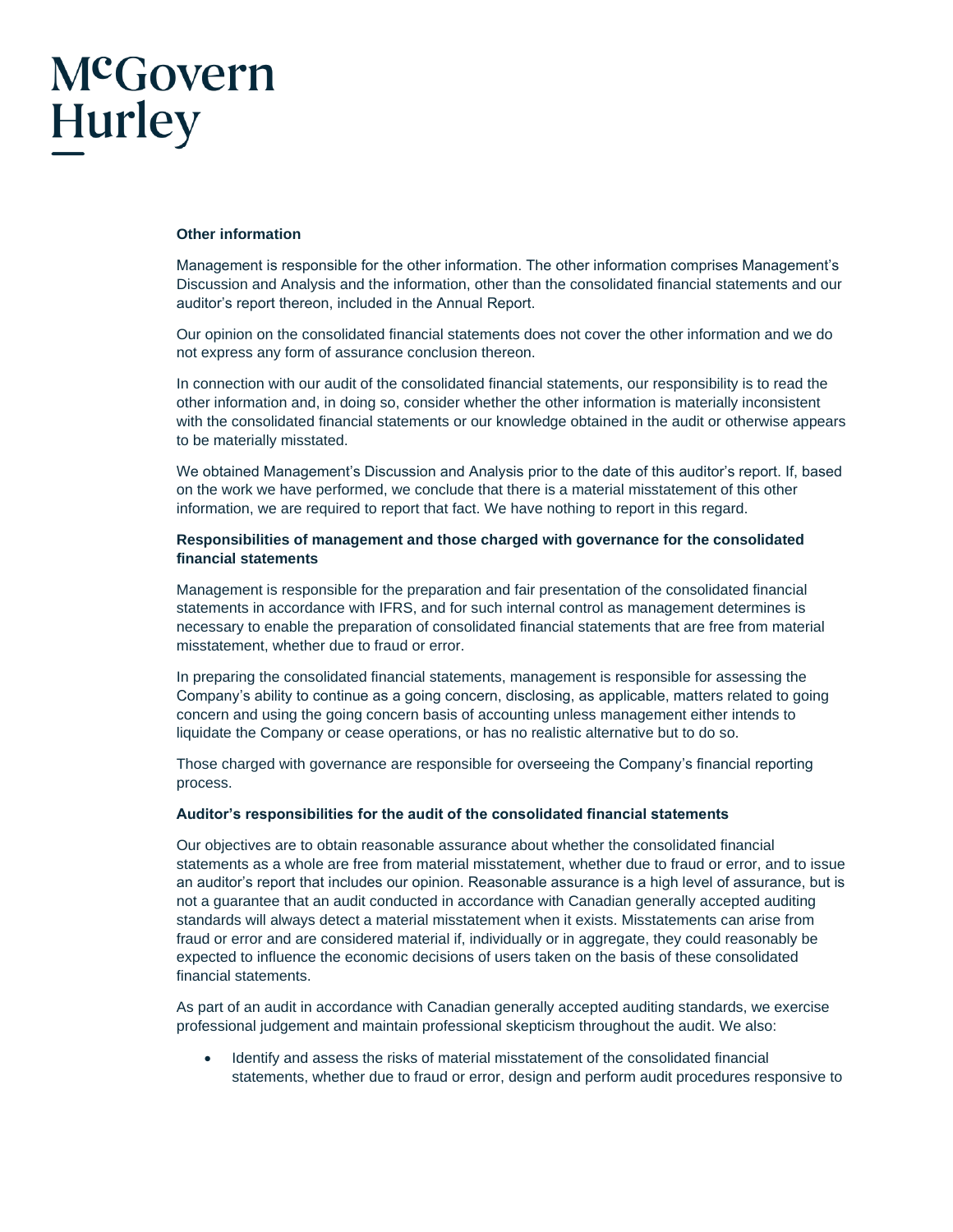# M<sup>c</sup>Govern Hurley

#### **Other information**

Management is responsible for the other information. The other information comprises Management's Discussion and Analysis and the information, other than the consolidated financial statements and our auditor's report thereon, included in the Annual Report.

Our opinion on the consolidated financial statements does not cover the other information and we do not express any form of assurance conclusion thereon.

In connection with our audit of the consolidated financial statements, our responsibility is to read the other information and, in doing so, consider whether the other information is materially inconsistent with the consolidated financial statements or our knowledge obtained in the audit or otherwise appears to be materially misstated.

We obtained Management's Discussion and Analysis prior to the date of this auditor's report. If, based on the work we have performed, we conclude that there is a material misstatement of this other information, we are required to report that fact. We have nothing to report in this regard.

#### **Responsibilities of management and those charged with governance for the consolidated financial statements**

Management is responsible for the preparation and fair presentation of the consolidated financial statements in accordance with IFRS, and for such internal control as management determines is necessary to enable the preparation of consolidated financial statements that are free from material misstatement, whether due to fraud or error.

In preparing the consolidated financial statements, management is responsible for assessing the Company's ability to continue as a going concern, disclosing, as applicable, matters related to going concern and using the going concern basis of accounting unless management either intends to liquidate the Company or cease operations, or has no realistic alternative but to do so.

Those charged with governance are responsible for overseeing the Company's financial reporting process.

#### **Auditor's responsibilities for the audit of the consolidated financial statements**

Our objectives are to obtain reasonable assurance about whether the consolidated financial statements as a whole are free from material misstatement, whether due to fraud or error, and to issue an auditor's report that includes our opinion. Reasonable assurance is a high level of assurance, but is not a guarantee that an audit conducted in accordance with Canadian generally accepted auditing standards will always detect a material misstatement when it exists. Misstatements can arise from fraud or error and are considered material if, individually or in aggregate, they could reasonably be expected to influence the economic decisions of users taken on the basis of these consolidated financial statements.

As part of an audit in accordance with Canadian generally accepted auditing standards, we exercise professional judgement and maintain professional skepticism throughout the audit. We also:

• Identify and assess the risks of material misstatement of the consolidated financial statements, whether due to fraud or error, design and perform audit procedures responsive to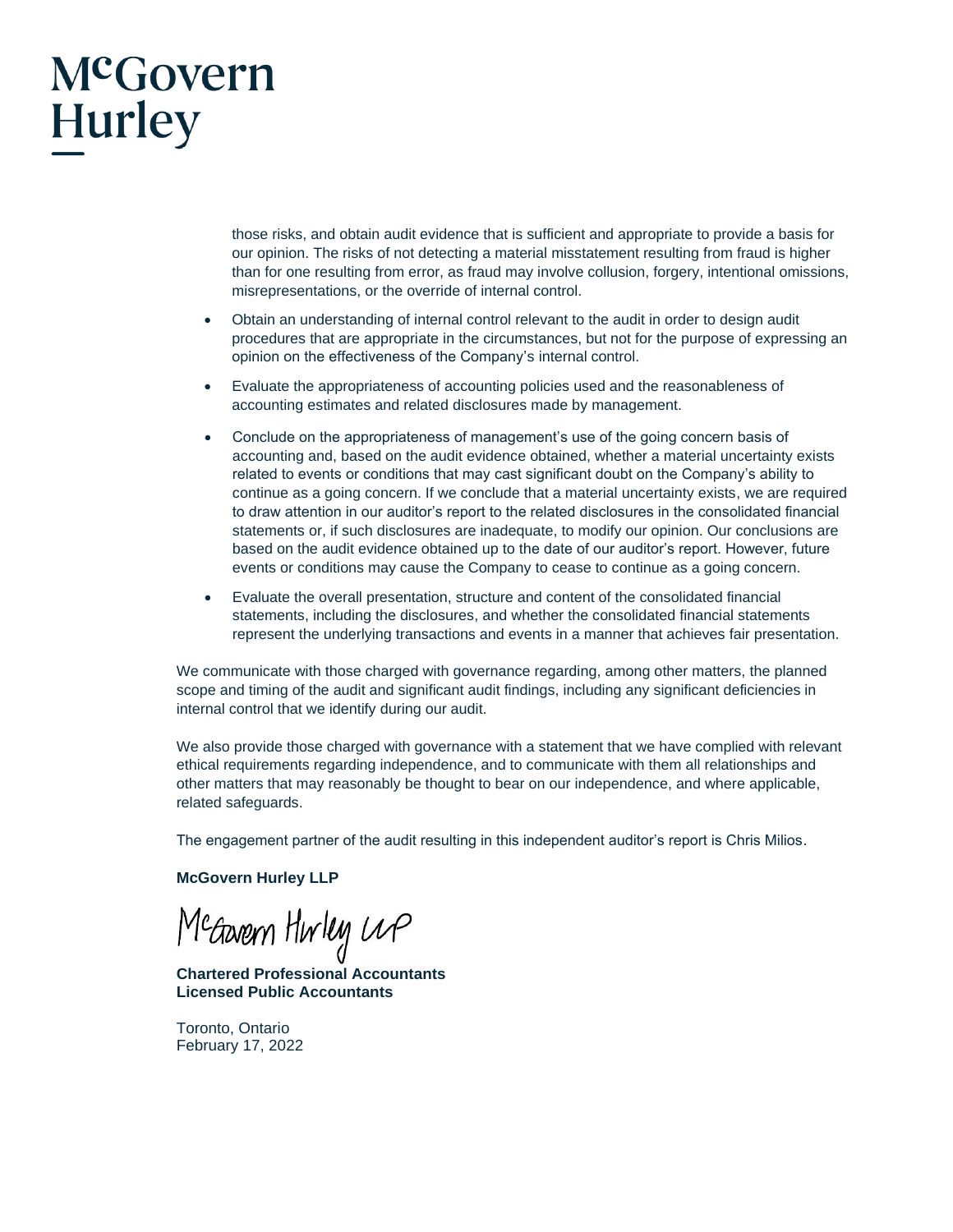# M<sup>c</sup>Govern Hurley

those risks, and obtain audit evidence that is sufficient and appropriate to provide a basis for our opinion. The risks of not detecting a material misstatement resulting from fraud is higher than for one resulting from error, as fraud may involve collusion, forgery, intentional omissions, misrepresentations, or the override of internal control.

- Obtain an understanding of internal control relevant to the audit in order to design audit procedures that are appropriate in the circumstances, but not for the purpose of expressing an opinion on the effectiveness of the Company's internal control.
- Evaluate the appropriateness of accounting policies used and the reasonableness of accounting estimates and related disclosures made by management.
- Conclude on the appropriateness of management's use of the going concern basis of accounting and, based on the audit evidence obtained, whether a material uncertainty exists related to events or conditions that may cast significant doubt on the Company's ability to continue as a going concern. If we conclude that a material uncertainty exists, we are required to draw attention in our auditor's report to the related disclosures in the consolidated financial statements or, if such disclosures are inadequate, to modify our opinion. Our conclusions are based on the audit evidence obtained up to the date of our auditor's report. However, future events or conditions may cause the Company to cease to continue as a going concern.
- Evaluate the overall presentation, structure and content of the consolidated financial statements, including the disclosures, and whether the consolidated financial statements represent the underlying transactions and events in a manner that achieves fair presentation.

We communicate with those charged with governance regarding, among other matters, the planned scope and timing of the audit and significant audit findings, including any significant deficiencies in internal control that we identify during our audit.

We also provide those charged with governance with a statement that we have complied with relevant ethical requirements regarding independence, and to communicate with them all relationships and other matters that may reasonably be thought to bear on our independence, and where applicable, related safeguards.

The engagement partner of the audit resulting in this independent auditor's report is Chris Milios.

**McGovern Hurley LLP**

MeGavern Hirley UP

**Chartered Professional Accountants Licensed Public Accountants**

Toronto, Ontario February 17, 2022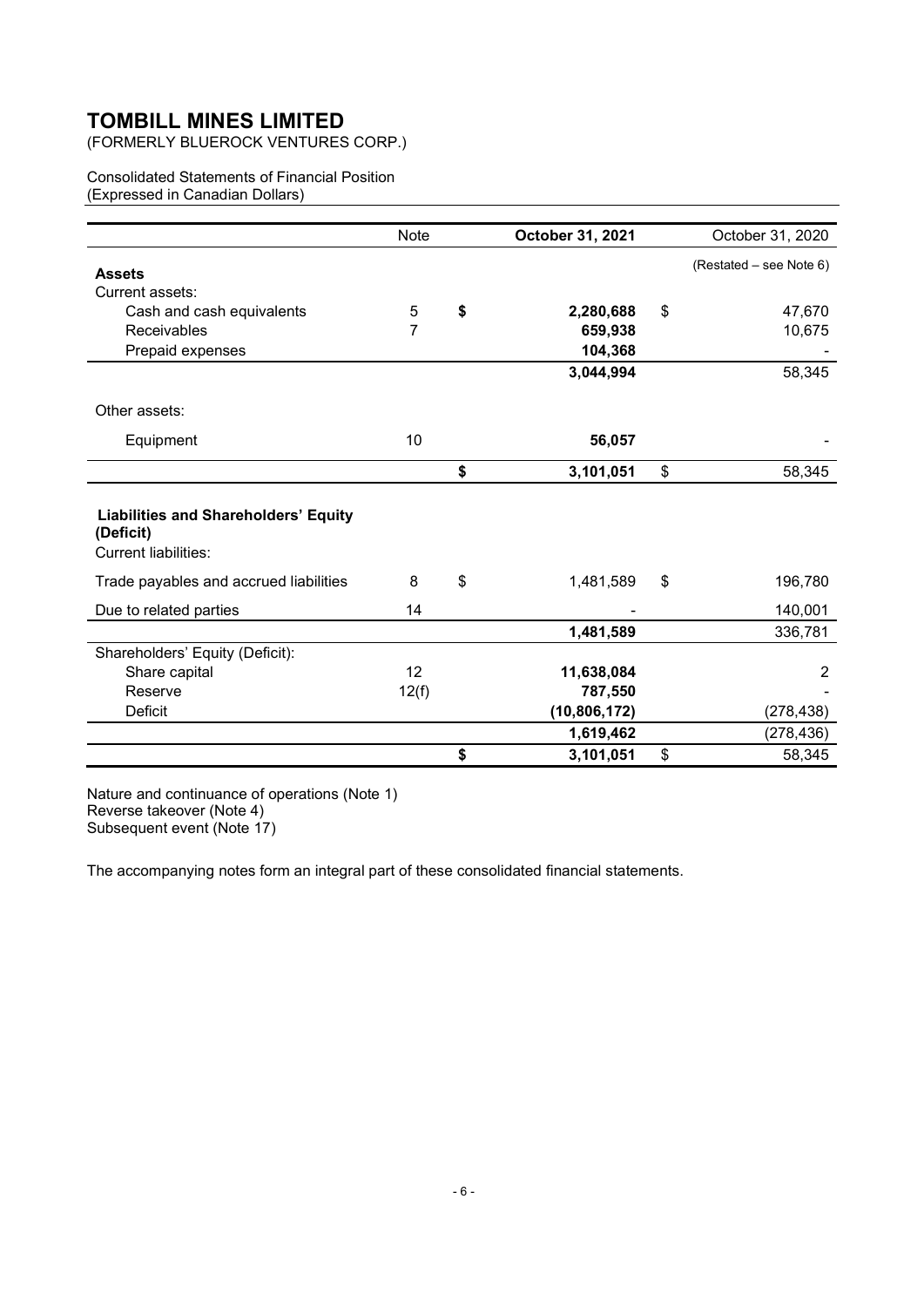(FORMERLY BLUEROCK VENTURES CORP.)

Consolidated Statements of Financial Position (Expressed in Canadian Dollars)

|                                                                                         | <b>Note</b> | October 31, 2021 | October 31, 2020        |
|-----------------------------------------------------------------------------------------|-------------|------------------|-------------------------|
| <b>Assets</b>                                                                           |             |                  | (Restated – see Note 6) |
| Current assets:                                                                         |             |                  |                         |
| Cash and cash equivalents                                                               | 5           | \$<br>2,280,688  | \$<br>47,670            |
| <b>Receivables</b>                                                                      | 7           | 659,938          | 10,675                  |
| Prepaid expenses                                                                        |             | 104,368          |                         |
|                                                                                         |             | 3,044,994        | 58,345                  |
| Other assets:                                                                           |             |                  |                         |
| Equipment                                                                               | 10          | 56,057           |                         |
|                                                                                         |             | \$<br>3,101,051  | \$<br>58,345            |
| <b>Liabilities and Shareholders' Equity</b><br>(Deficit)<br><b>Current liabilities:</b> |             |                  |                         |
| Trade payables and accrued liabilities                                                  | 8           | \$<br>1,481,589  | \$<br>196,780           |
| Due to related parties                                                                  | 14          |                  | 140,001                 |
|                                                                                         |             | 1,481,589        | 336,781                 |
| Shareholders' Equity (Deficit):                                                         |             |                  |                         |
| Share capital                                                                           | 12          | 11,638,084       | $\overline{2}$          |
| Reserve                                                                                 | 12(f)       | 787,550          |                         |
| <b>Deficit</b>                                                                          |             | (10, 806, 172)   | (278, 438)              |
|                                                                                         |             | 1,619,462        | (278, 436)              |
|                                                                                         |             | \$<br>3,101,051  | \$<br>58,345            |

Nature and continuance of operations (Note 1) Reverse takeover (Note 4) Subsequent event (Note 17)

The accompanying notes form an integral part of these consolidated financial statements.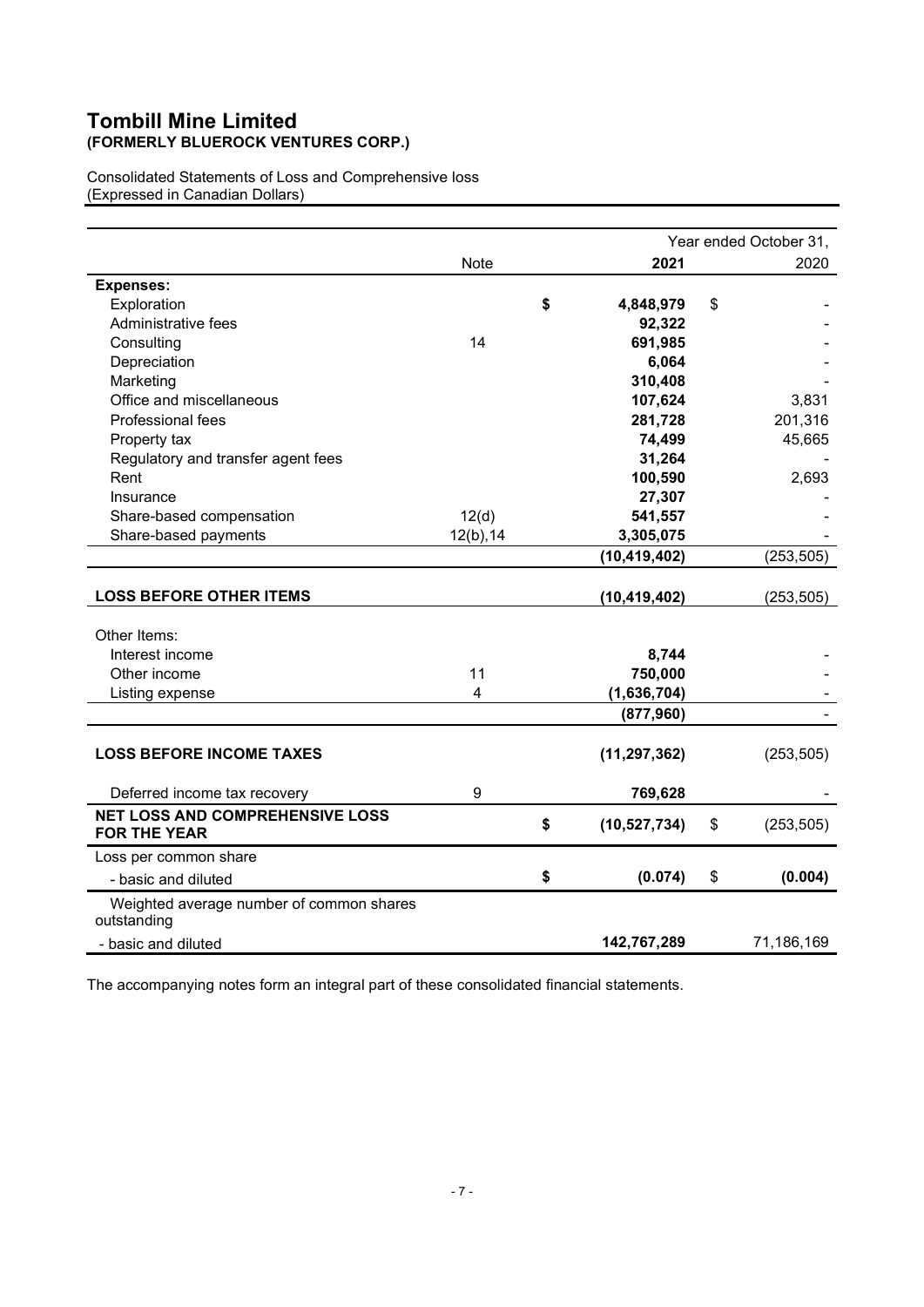# Tombill Mine Limited (FORMERLY BLUEROCK VENTURES CORP.)

Consolidated Statements of Loss and Comprehensive loss (Expressed in Canadian Dollars)

|                                          |             |                      | Year ended October 31, |
|------------------------------------------|-------------|----------------------|------------------------|
|                                          | <b>Note</b> | 2021                 | 2020                   |
| <b>Expenses:</b>                         |             |                      |                        |
| Exploration                              |             | \$<br>4,848,979      | \$                     |
| Administrative fees                      |             | 92,322               |                        |
| Consulting                               | 14          | 691,985              |                        |
| Depreciation                             |             | 6,064                |                        |
| Marketing                                |             | 310,408              |                        |
| Office and miscellaneous                 |             | 107,624              | 3,831                  |
| Professional fees                        |             | 281,728              | 201,316                |
| Property tax                             |             | 74,499               | 45,665                 |
| Regulatory and transfer agent fees       |             | 31,264               |                        |
| Rent                                     |             | 100,590              | 2,693                  |
| Insurance                                |             | 27,307               |                        |
| Share-based compensation                 | 12(d)       | 541,557              |                        |
| Share-based payments                     | 12(b), 14   | 3,305,075            |                        |
|                                          |             | (10, 419, 402)       | (253, 505)             |
|                                          |             |                      |                        |
| <b>LOSS BEFORE OTHER ITEMS</b>           |             | (10, 419, 402)       | (253, 505)             |
| Other Items:                             |             |                      |                        |
| Interest income                          |             | 8,744                |                        |
| Other income                             | 11          | 750,000              |                        |
| Listing expense                          | 4           | (1,636,704)          |                        |
|                                          |             | (877,960)            |                        |
|                                          |             |                      |                        |
| <b>LOSS BEFORE INCOME TAXES</b>          |             | (11, 297, 362)       | (253, 505)             |
| Deferred income tax recovery             | 9           | 769,628              |                        |
| <b>NET LOSS AND COMPREHENSIVE LOSS</b>   |             |                      |                        |
| <b>FOR THE YEAR</b>                      |             | \$<br>(10, 527, 734) | \$<br>(253, 505)       |
| Loss per common share                    |             |                      |                        |
| - basic and diluted                      |             | \$<br>(0.074)        | \$<br>(0.004)          |
| Weighted average number of common shares |             |                      |                        |
| outstanding                              |             |                      |                        |
| - basic and diluted                      |             | 142,767,289          | 71,186,169             |

The accompanying notes form an integral part of these consolidated financial statements.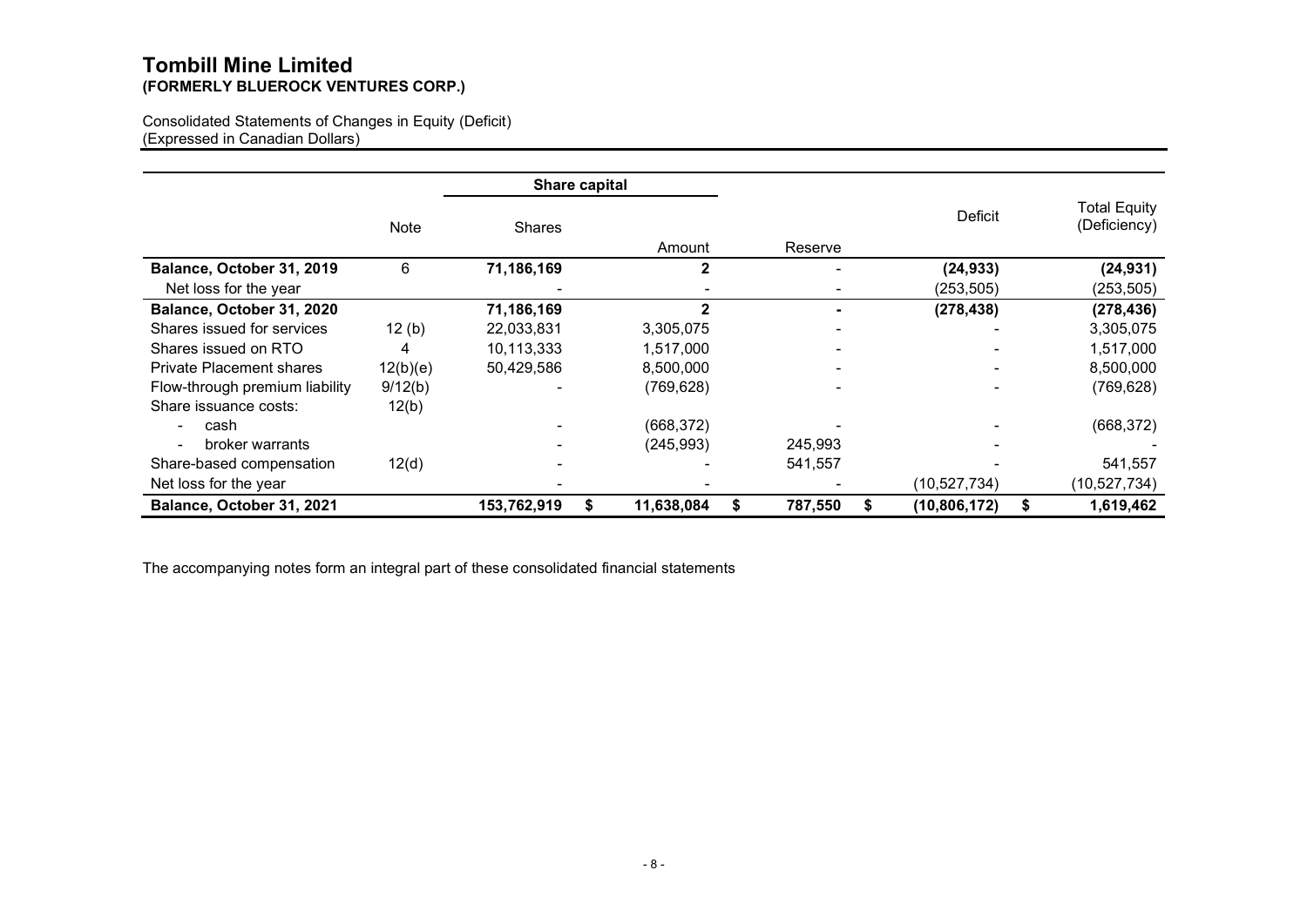# Tombill Mine Limited (FORMERLY BLUEROCK VENTURES CORP.)

Consolidated Statements of Changes in Equity (Deficit) (Expressed in Canadian Dollars)

|                                 |             |               | <b>Share capital</b> |            |  |         |                |    |                                     |
|---------------------------------|-------------|---------------|----------------------|------------|--|---------|----------------|----|-------------------------------------|
|                                 | <b>Note</b> | <b>Shares</b> |                      | Amount     |  | Reserve | Deficit        |    | <b>Total Equity</b><br>(Deficiency) |
| Balance, October 31, 2019       | 6           | 71,186,169    |                      | 2          |  |         | (24, 933)      |    | (24, 931)                           |
| Net loss for the year           |             |               |                      |            |  |         | (253,505)      |    | (253, 505)                          |
| Balance, October 31, 2020       |             | 71,186,169    |                      | 2          |  |         | (278, 438)     |    | (278, 436)                          |
| Shares issued for services      | 12(b)       | 22,033,831    |                      | 3,305,075  |  |         |                |    | 3,305,075                           |
| Shares issued on RTO            |             | 10,113,333    |                      | 1,517,000  |  |         |                |    | 1,517,000                           |
| <b>Private Placement shares</b> | 12(b)(e)    | 50,429,586    |                      | 8,500,000  |  |         |                |    | 8,500,000                           |
| Flow-through premium liability  | 9/12(b)     |               |                      | (769, 628) |  |         |                |    | (769, 628)                          |
| Share issuance costs:           | 12(b)       |               |                      |            |  |         |                |    |                                     |
| cash                            |             |               |                      | (668, 372) |  |         |                |    | (668, 372)                          |
| broker warrants                 |             |               |                      | (245, 993) |  | 245,993 |                |    |                                     |
| Share-based compensation        | 12(d)       |               |                      |            |  | 541,557 |                |    | 541,557                             |
| Net loss for the year           |             |               |                      |            |  |         | (10, 527, 734) |    | (10, 527, 734)                      |
| Balance, October 31, 2021       |             | 153,762,919   |                      | 11,638,084 |  | 787,550 | (10, 806, 172) | S. | 1,619,462                           |

The accompanying notes form an integral part of these consolidated financial statements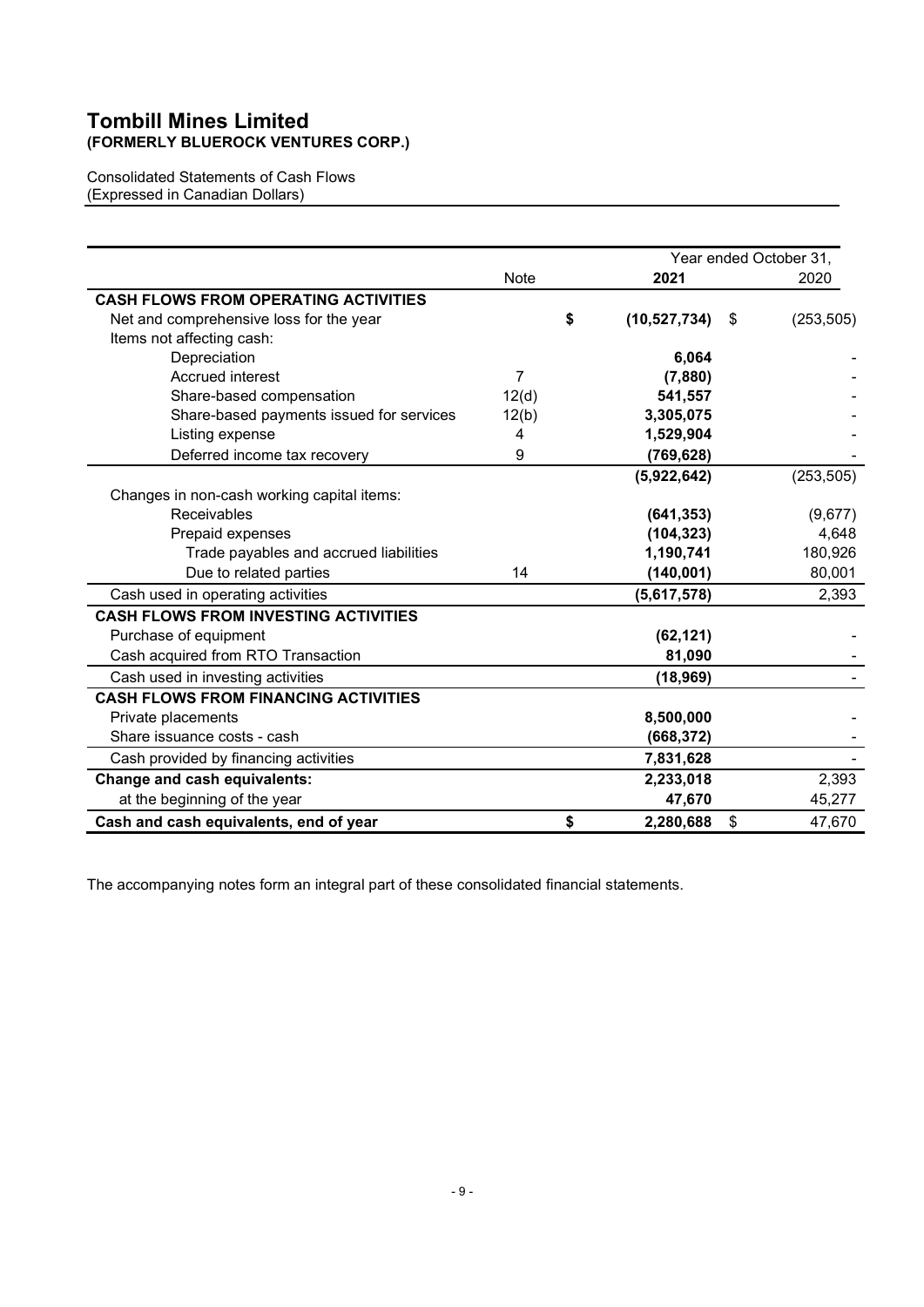# Tombill Mines Limited (FORMERLY BLUEROCK VENTURES CORP.)

Consolidated Statements of Cash Flows (Expressed in Canadian Dollars)

|                                             |       |                | Year ended October 31, |            |  |
|---------------------------------------------|-------|----------------|------------------------|------------|--|
|                                             | Note  | 2021           |                        | 2020       |  |
| <b>CASH FLOWS FROM OPERATING ACTIVITIES</b> |       |                |                        |            |  |
| Net and comprehensive loss for the year     | \$    | (10, 527, 734) | \$                     | (253, 505) |  |
| Items not affecting cash:                   |       |                |                        |            |  |
| Depreciation                                |       | 6,064          |                        |            |  |
| <b>Accrued interest</b>                     | 7     | (7,880)        |                        |            |  |
| Share-based compensation                    | 12(d) | 541,557        |                        |            |  |
| Share-based payments issued for services    | 12(b) | 3,305,075      |                        |            |  |
| Listing expense                             | 4     | 1,529,904      |                        |            |  |
| Deferred income tax recovery                | 9     | (769, 628)     |                        |            |  |
|                                             |       | (5,922,642)    |                        | (253, 505) |  |
| Changes in non-cash working capital items:  |       |                |                        |            |  |
| Receivables                                 |       | (641, 353)     |                        | (9,677)    |  |
| Prepaid expenses                            |       | (104, 323)     |                        | 4,648      |  |
| Trade payables and accrued liabilities      |       | 1,190,741      |                        | 180,926    |  |
| Due to related parties                      | 14    | (140, 001)     |                        | 80,001     |  |
| Cash used in operating activities           |       | (5,617,578)    |                        | 2,393      |  |
| <b>CASH FLOWS FROM INVESTING ACTIVITIES</b> |       |                |                        |            |  |
| Purchase of equipment                       |       | (62, 121)      |                        |            |  |
| Cash acquired from RTO Transaction          |       | 81,090         |                        |            |  |
| Cash used in investing activities           |       | (18, 969)      |                        |            |  |
| <b>CASH FLOWS FROM FINANCING ACTIVITIES</b> |       |                |                        |            |  |
| Private placements                          |       | 8,500,000      |                        |            |  |
| Share issuance costs - cash                 |       | (668, 372)     |                        |            |  |
| Cash provided by financing activities       |       | 7,831,628      |                        |            |  |
| Change and cash equivalents:                |       | 2,233,018      |                        | 2,393      |  |
| at the beginning of the year                |       | 47,670         |                        | 45,277     |  |
| Cash and cash equivalents, end of year      | \$    | 2,280,688      | \$                     | 47,670     |  |

The accompanying notes form an integral part of these consolidated financial statements.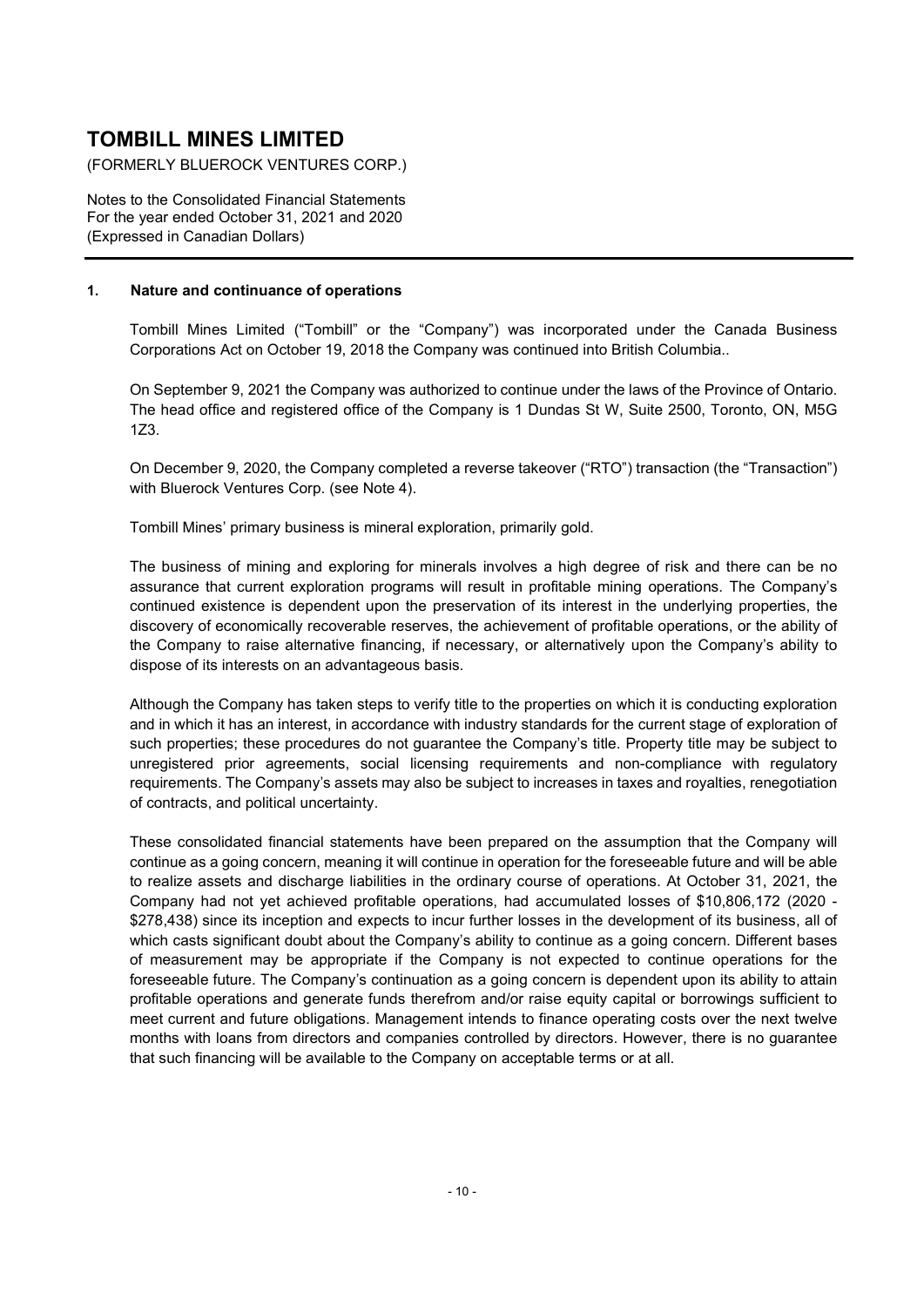(FORMERLY BLUEROCK VENTURES CORP.)

Notes to the Consolidated Financial Statements For the year ended October 31, 2021 and 2020 (Expressed in Canadian Dollars)

# 1. Nature and continuance of operations

Tombill Mines Limited ("Tombill" or the "Company") was incorporated under the Canada Business Corporations Act on October 19, 2018 the Company was continued into British Columbia..

On September 9, 2021 the Company was authorized to continue under the laws of the Province of Ontario. The head office and registered office of the Company is 1 Dundas St W, Suite 2500, Toronto, ON, M5G 1Z3.

On December 9, 2020, the Company completed a reverse takeover ("RTO") transaction (the "Transaction") with Bluerock Ventures Corp. (see Note 4).

Tombill Mines' primary business is mineral exploration, primarily gold.

The business of mining and exploring for minerals involves a high degree of risk and there can be no assurance that current exploration programs will result in profitable mining operations. The Company's continued existence is dependent upon the preservation of its interest in the underlying properties, the discovery of economically recoverable reserves, the achievement of profitable operations, or the ability of the Company to raise alternative financing, if necessary, or alternatively upon the Company's ability to dispose of its interests on an advantageous basis.

Although the Company has taken steps to verify title to the properties on which it is conducting exploration and in which it has an interest, in accordance with industry standards for the current stage of exploration of such properties; these procedures do not guarantee the Company's title. Property title may be subject to unregistered prior agreements, social licensing requirements and non-compliance with regulatory requirements. The Company's assets may also be subject to increases in taxes and royalties, renegotiation of contracts, and political uncertainty.

These consolidated financial statements have been prepared on the assumption that the Company will continue as a going concern, meaning it will continue in operation for the foreseeable future and will be able to realize assets and discharge liabilities in the ordinary course of operations. At October 31, 2021, the Company had not yet achieved profitable operations, had accumulated losses of \$10,806,172 (2020 - \$278,438) since its inception and expects to incur further losses in the development of its business, all of which casts significant doubt about the Company's ability to continue as a going concern. Different bases of measurement may be appropriate if the Company is not expected to continue operations for the foreseeable future. The Company's continuation as a going concern is dependent upon its ability to attain profitable operations and generate funds therefrom and/or raise equity capital or borrowings sufficient to meet current and future obligations. Management intends to finance operating costs over the next twelve months with loans from directors and companies controlled by directors. However, there is no guarantee that such financing will be available to the Company on acceptable terms or at all.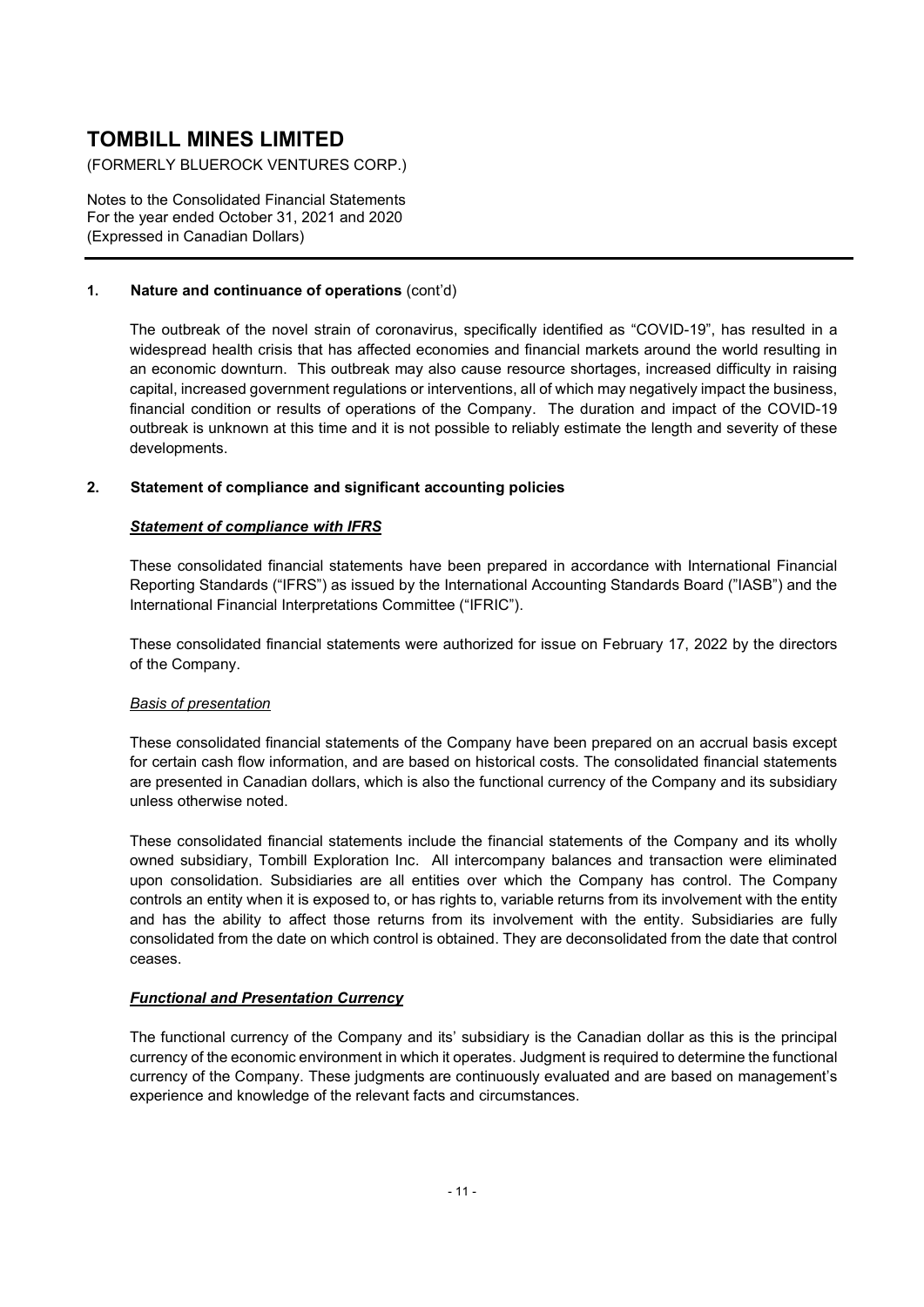(FORMERLY BLUEROCK VENTURES CORP.)

Notes to the Consolidated Financial Statements For the year ended October 31, 2021 and 2020 (Expressed in Canadian Dollars)

# 1. Nature and continuance of operations (cont'd)

The outbreak of the novel strain of coronavirus, specifically identified as "COVID-19", has resulted in a widespread health crisis that has affected economies and financial markets around the world resulting in an economic downturn. This outbreak may also cause resource shortages, increased difficulty in raising capital, increased government regulations or interventions, all of which may negatively impact the business, financial condition or results of operations of the Company. The duration and impact of the COVID-19 outbreak is unknown at this time and it is not possible to reliably estimate the length and severity of these developments.

# 2. Statement of compliance and significant accounting policies

# Statement of compliance with IFRS

These consolidated financial statements have been prepared in accordance with International Financial Reporting Standards ("IFRS") as issued by the International Accounting Standards Board ("IASB") and the International Financial Interpretations Committee ("IFRIC").

These consolidated financial statements were authorized for issue on February 17, 2022 by the directors of the Company.

# Basis of presentation

These consolidated financial statements of the Company have been prepared on an accrual basis except for certain cash flow information, and are based on historical costs. The consolidated financial statements are presented in Canadian dollars, which is also the functional currency of the Company and its subsidiary unless otherwise noted.

These consolidated financial statements include the financial statements of the Company and its wholly owned subsidiary, Tombill Exploration Inc. All intercompany balances and transaction were eliminated upon consolidation. Subsidiaries are all entities over which the Company has control. The Company controls an entity when it is exposed to, or has rights to, variable returns from its involvement with the entity and has the ability to affect those returns from its involvement with the entity. Subsidiaries are fully consolidated from the date on which control is obtained. They are deconsolidated from the date that control ceases.

# Functional and Presentation Currency

The functional currency of the Company and its' subsidiary is the Canadian dollar as this is the principal currency of the economic environment in which it operates. Judgment is required to determine the functional currency of the Company. These judgments are continuously evaluated and are based on management's experience and knowledge of the relevant facts and circumstances.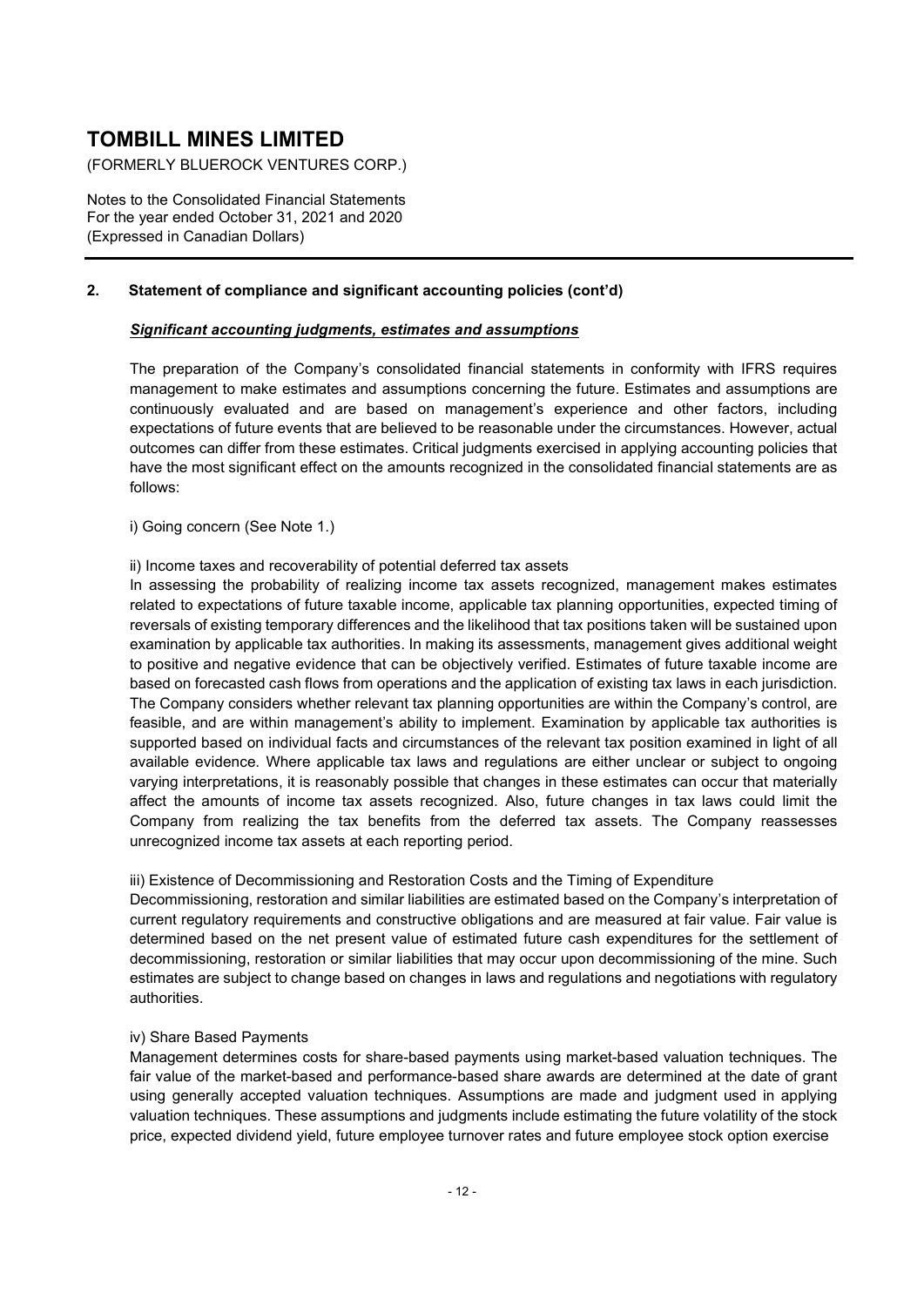(FORMERLY BLUEROCK VENTURES CORP.)

Notes to the Consolidated Financial Statements For the year ended October 31, 2021 and 2020 (Expressed in Canadian Dollars)

# 2. Statement of compliance and significant accounting policies (cont'd)

### Significant accounting judgments, estimates and assumptions

The preparation of the Company's consolidated financial statements in conformity with IFRS requires management to make estimates and assumptions concerning the future. Estimates and assumptions are continuously evaluated and are based on management's experience and other factors, including expectations of future events that are believed to be reasonable under the circumstances. However, actual outcomes can differ from these estimates. Critical judgments exercised in applying accounting policies that have the most significant effect on the amounts recognized in the consolidated financial statements are as follows:

i) Going concern (See Note 1.)

### ii) Income taxes and recoverability of potential deferred tax assets

In assessing the probability of realizing income tax assets recognized, management makes estimates related to expectations of future taxable income, applicable tax planning opportunities, expected timing of reversals of existing temporary differences and the likelihood that tax positions taken will be sustained upon examination by applicable tax authorities. In making its assessments, management gives additional weight to positive and negative evidence that can be objectively verified. Estimates of future taxable income are based on forecasted cash flows from operations and the application of existing tax laws in each jurisdiction. The Company considers whether relevant tax planning opportunities are within the Company's control, are feasible, and are within management's ability to implement. Examination by applicable tax authorities is supported based on individual facts and circumstances of the relevant tax position examined in light of all available evidence. Where applicable tax laws and regulations are either unclear or subject to ongoing varying interpretations, it is reasonably possible that changes in these estimates can occur that materially affect the amounts of income tax assets recognized. Also, future changes in tax laws could limit the Company from realizing the tax benefits from the deferred tax assets. The Company reassesses unrecognized income tax assets at each reporting period.

# iii) Existence of Decommissioning and Restoration Costs and the Timing of Expenditure

Decommissioning, restoration and similar liabilities are estimated based on the Company's interpretation of current regulatory requirements and constructive obligations and are measured at fair value. Fair value is determined based on the net present value of estimated future cash expenditures for the settlement of decommissioning, restoration or similar liabilities that may occur upon decommissioning of the mine. Such estimates are subject to change based on changes in laws and regulations and negotiations with regulatory authorities.

# iv) Share Based Payments

Management determines costs for share-based payments using market-based valuation techniques. The fair value of the market-based and performance-based share awards are determined at the date of grant using generally accepted valuation techniques. Assumptions are made and judgment used in applying valuation techniques. These assumptions and judgments include estimating the future volatility of the stock price, expected dividend yield, future employee turnover rates and future employee stock option exercise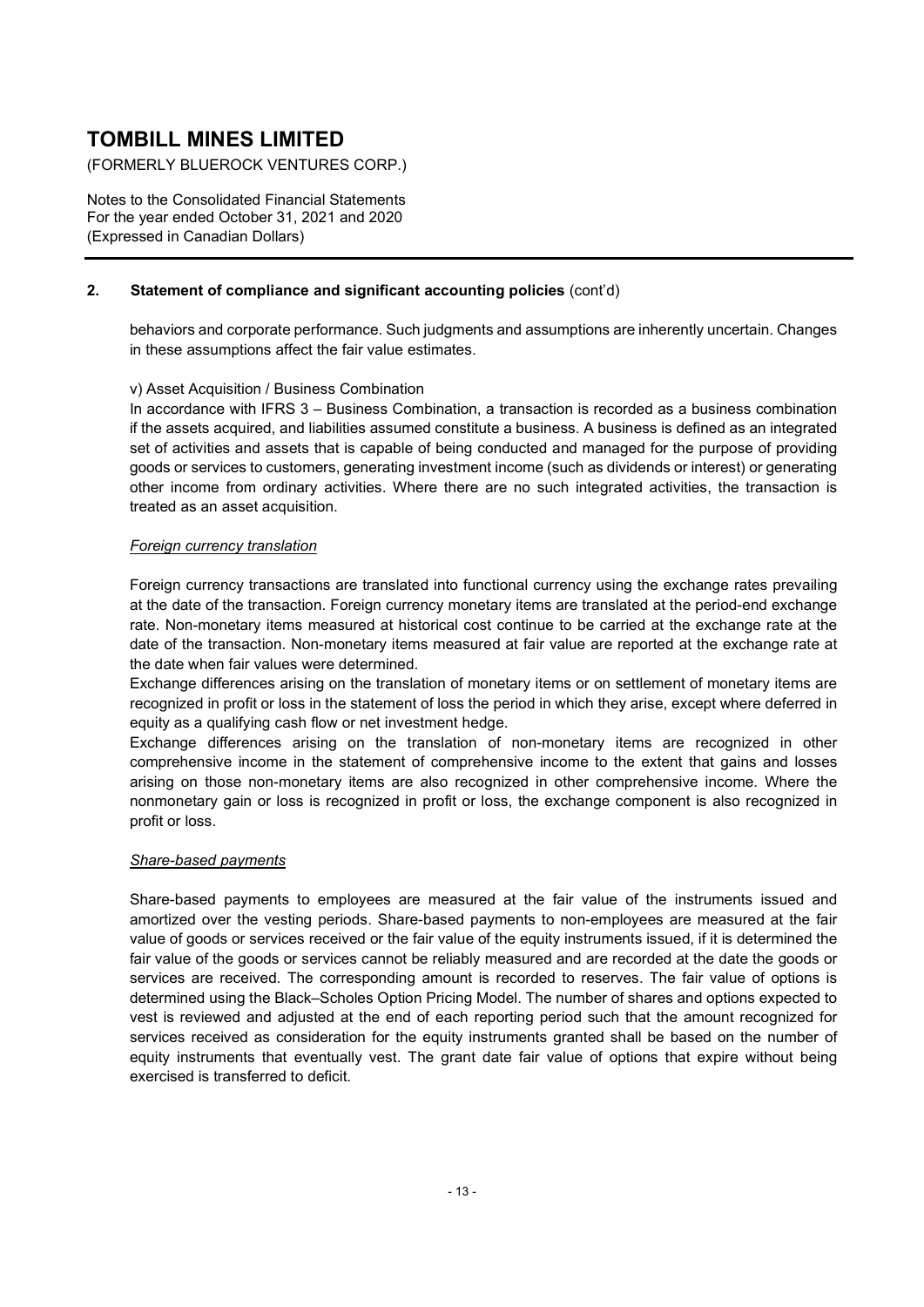(FORMERLY BLUEROCK VENTURES CORP.)

Notes to the Consolidated Financial Statements For the year ended October 31, 2021 and 2020 (Expressed in Canadian Dollars)

# 2. Statement of compliance and significant accounting policies (cont'd)

behaviors and corporate performance. Such judgments and assumptions are inherently uncertain. Changes in these assumptions affect the fair value estimates.

### v) Asset Acquisition / Business Combination

In accordance with IFRS 3 – Business Combination, a transaction is recorded as a business combination if the assets acquired, and liabilities assumed constitute a business. A business is defined as an integrated set of activities and assets that is capable of being conducted and managed for the purpose of providing goods or services to customers, generating investment income (such as dividends or interest) or generating other income from ordinary activities. Where there are no such integrated activities, the transaction is treated as an asset acquisition.

### Foreign currency translation

Foreign currency transactions are translated into functional currency using the exchange rates prevailing at the date of the transaction. Foreign currency monetary items are translated at the period-end exchange rate. Non-monetary items measured at historical cost continue to be carried at the exchange rate at the date of the transaction. Non-monetary items measured at fair value are reported at the exchange rate at the date when fair values were determined.

Exchange differences arising on the translation of monetary items or on settlement of monetary items are recognized in profit or loss in the statement of loss the period in which they arise, except where deferred in equity as a qualifying cash flow or net investment hedge.

Exchange differences arising on the translation of non-monetary items are recognized in other comprehensive income in the statement of comprehensive income to the extent that gains and losses arising on those non-monetary items are also recognized in other comprehensive income. Where the nonmonetary gain or loss is recognized in profit or loss, the exchange component is also recognized in profit or loss.

# Share-based payments

Share-based payments to employees are measured at the fair value of the instruments issued and amortized over the vesting periods. Share-based payments to non-employees are measured at the fair value of goods or services received or the fair value of the equity instruments issued, if it is determined the fair value of the goods or services cannot be reliably measured and are recorded at the date the goods or services are received. The corresponding amount is recorded to reserves. The fair value of options is determined using the Black–Scholes Option Pricing Model. The number of shares and options expected to vest is reviewed and adjusted at the end of each reporting period such that the amount recognized for services received as consideration for the equity instruments granted shall be based on the number of equity instruments that eventually vest. The grant date fair value of options that expire without being exercised is transferred to deficit.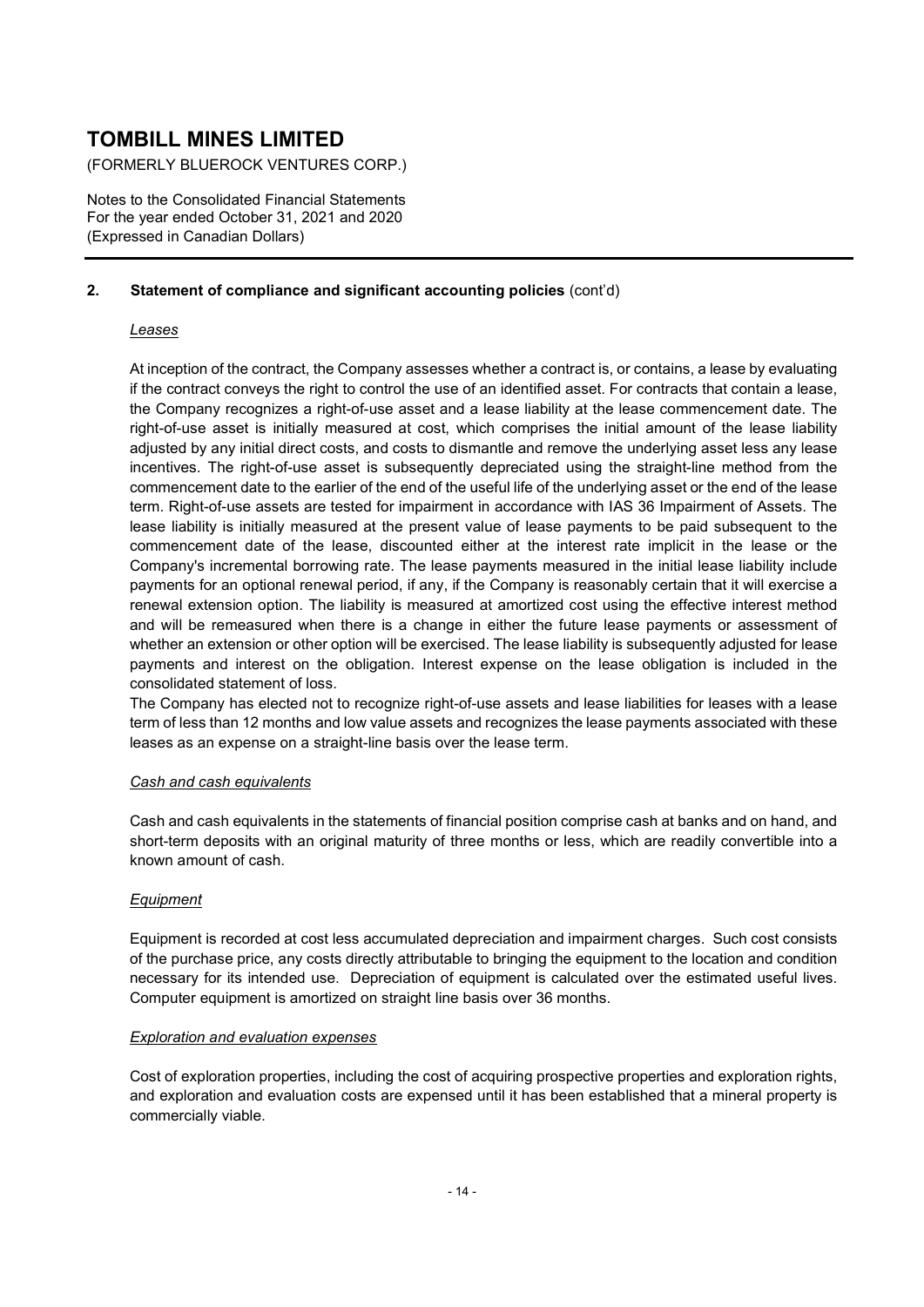(FORMERLY BLUEROCK VENTURES CORP.)

Notes to the Consolidated Financial Statements For the year ended October 31, 2021 and 2020 (Expressed in Canadian Dollars)

# 2. Statement of compliance and significant accounting policies (cont'd)

### Leases

At inception of the contract, the Company assesses whether a contract is, or contains, a lease by evaluating if the contract conveys the right to control the use of an identified asset. For contracts that contain a lease, the Company recognizes a right-of-use asset and a lease liability at the lease commencement date. The right-of-use asset is initially measured at cost, which comprises the initial amount of the lease liability adjusted by any initial direct costs, and costs to dismantle and remove the underlying asset less any lease incentives. The right-of-use asset is subsequently depreciated using the straight-line method from the commencement date to the earlier of the end of the useful life of the underlying asset or the end of the lease term. Right-of-use assets are tested for impairment in accordance with IAS 36 Impairment of Assets. The lease liability is initially measured at the present value of lease payments to be paid subsequent to the commencement date of the lease, discounted either at the interest rate implicit in the lease or the Company's incremental borrowing rate. The lease payments measured in the initial lease liability include payments for an optional renewal period, if any, if the Company is reasonably certain that it will exercise a renewal extension option. The liability is measured at amortized cost using the effective interest method and will be remeasured when there is a change in either the future lease payments or assessment of whether an extension or other option will be exercised. The lease liability is subsequently adjusted for lease payments and interest on the obligation. Interest expense on the lease obligation is included in the consolidated statement of loss.

The Company has elected not to recognize right-of-use assets and lease liabilities for leases with a lease term of less than 12 months and low value assets and recognizes the lease payments associated with these leases as an expense on a straight-line basis over the lease term.

# Cash and cash equivalents

Cash and cash equivalents in the statements of financial position comprise cash at banks and on hand, and short-term deposits with an original maturity of three months or less, which are readily convertible into a known amount of cash.

### Equipment

Equipment is recorded at cost less accumulated depreciation and impairment charges. Such cost consists of the purchase price, any costs directly attributable to bringing the equipment to the location and condition necessary for its intended use. Depreciation of equipment is calculated over the estimated useful lives. Computer equipment is amortized on straight line basis over 36 months.

### Exploration and evaluation expenses

Cost of exploration properties, including the cost of acquiring prospective properties and exploration rights, and exploration and evaluation costs are expensed until it has been established that a mineral property is commercially viable.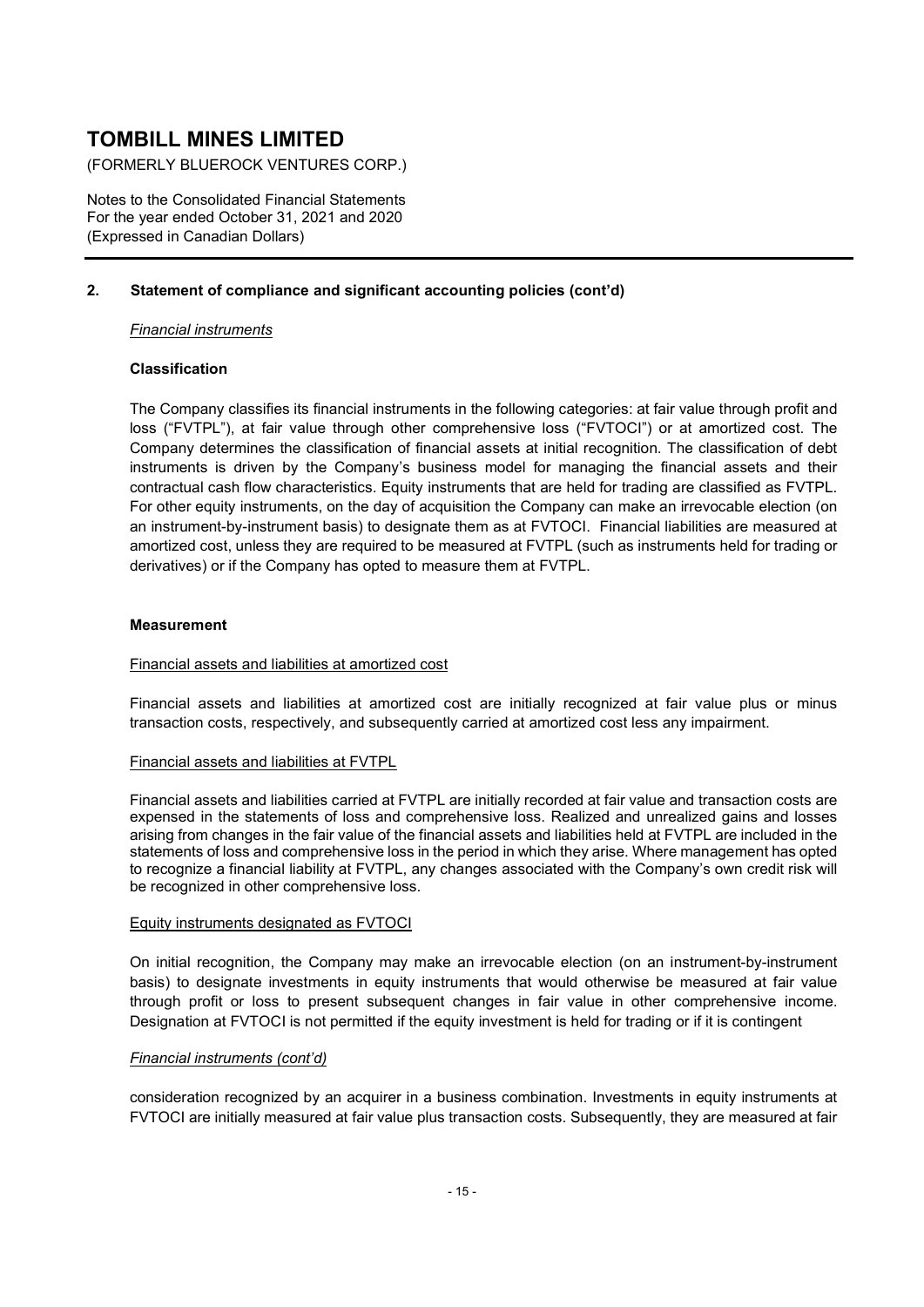(FORMERLY BLUEROCK VENTURES CORP.)

Notes to the Consolidated Financial Statements For the year ended October 31, 2021 and 2020 (Expressed in Canadian Dollars)

# 2. Statement of compliance and significant accounting policies (cont'd)

### Financial instruments

### Classification

The Company classifies its financial instruments in the following categories: at fair value through profit and loss ("FVTPL"), at fair value through other comprehensive loss ("FVTOCI") or at amortized cost. The Company determines the classification of financial assets at initial recognition. The classification of debt instruments is driven by the Company's business model for managing the financial assets and their contractual cash flow characteristics. Equity instruments that are held for trading are classified as FVTPL. For other equity instruments, on the day of acquisition the Company can make an irrevocable election (on an instrument-by-instrument basis) to designate them as at FVTOCI. Financial liabilities are measured at amortized cost, unless they are required to be measured at FVTPL (such as instruments held for trading or derivatives) or if the Company has opted to measure them at FVTPL.

### Measurement

### Financial assets and liabilities at amortized cost

Financial assets and liabilities at amortized cost are initially recognized at fair value plus or minus transaction costs, respectively, and subsequently carried at amortized cost less any impairment.

### Financial assets and liabilities at FVTPL

Financial assets and liabilities carried at FVTPL are initially recorded at fair value and transaction costs are expensed in the statements of loss and comprehensive loss. Realized and unrealized gains and losses arising from changes in the fair value of the financial assets and liabilities held at FVTPL are included in the statements of loss and comprehensive loss in the period in which they arise. Where management has opted to recognize a financial liability at FVTPL, any changes associated with the Company's own credit risk will be recognized in other comprehensive loss.

### Equity instruments designated as FVTOCI

On initial recognition, the Company may make an irrevocable election (on an instrument-by-instrument basis) to designate investments in equity instruments that would otherwise be measured at fair value through profit or loss to present subsequent changes in fair value in other comprehensive income. Designation at FVTOCI is not permitted if the equity investment is held for trading or if it is contingent

### Financial instruments (cont'd)

consideration recognized by an acquirer in a business combination. Investments in equity instruments at FVTOCI are initially measured at fair value plus transaction costs. Subsequently, they are measured at fair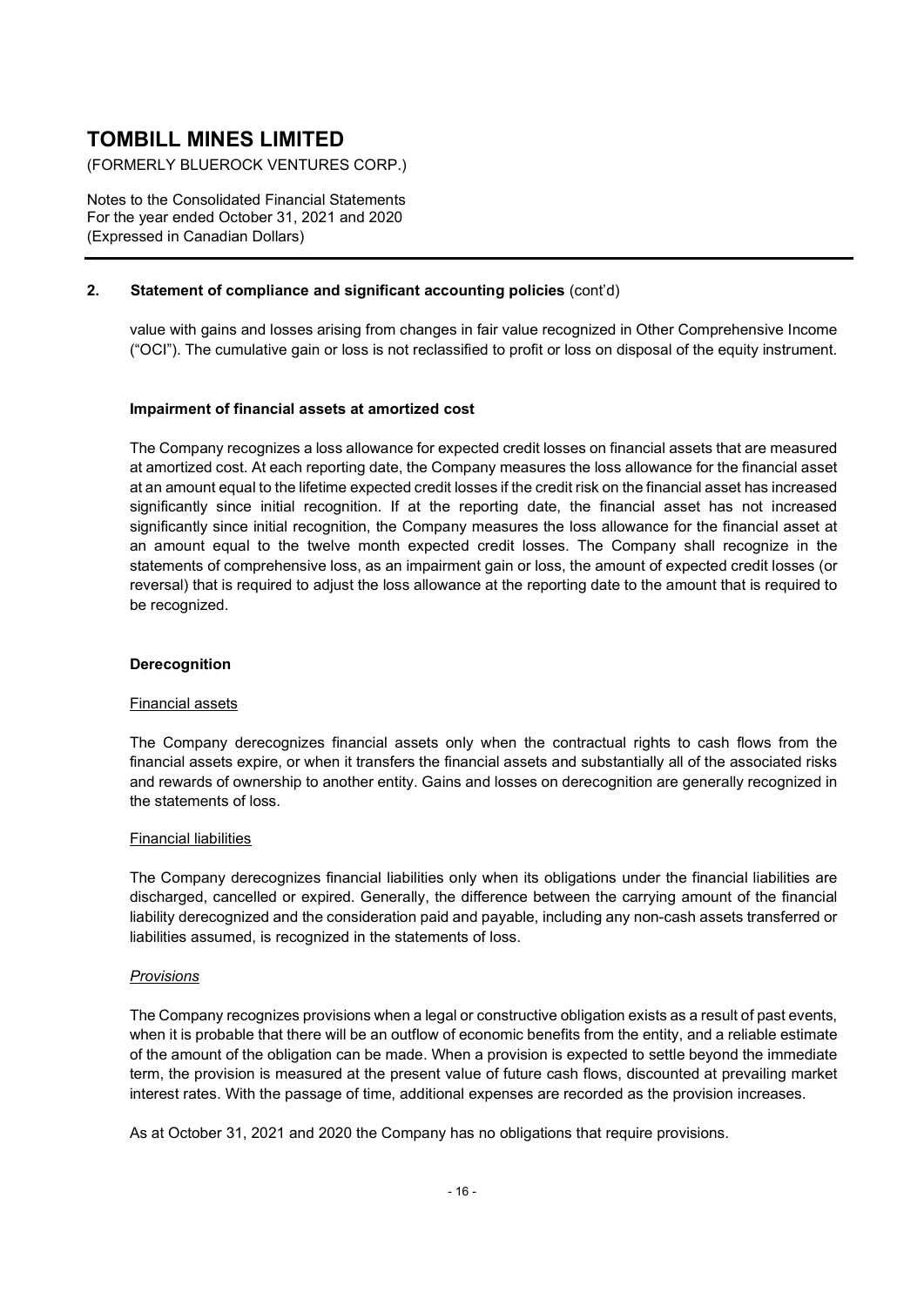(FORMERLY BLUEROCK VENTURES CORP.)

Notes to the Consolidated Financial Statements For the year ended October 31, 2021 and 2020 (Expressed in Canadian Dollars)

# 2. Statement of compliance and significant accounting policies (cont'd)

value with gains and losses arising from changes in fair value recognized in Other Comprehensive Income ("OCI"). The cumulative gain or loss is not reclassified to profit or loss on disposal of the equity instrument.

# Impairment of financial assets at amortized cost

The Company recognizes a loss allowance for expected credit losses on financial assets that are measured at amortized cost. At each reporting date, the Company measures the loss allowance for the financial asset at an amount equal to the lifetime expected credit losses if the credit risk on the financial asset has increased significantly since initial recognition. If at the reporting date, the financial asset has not increased significantly since initial recognition, the Company measures the loss allowance for the financial asset at an amount equal to the twelve month expected credit losses. The Company shall recognize in the statements of comprehensive loss, as an impairment gain or loss, the amount of expected credit losses (or reversal) that is required to adjust the loss allowance at the reporting date to the amount that is required to be recognized.

### Derecognition

### Financial assets

The Company derecognizes financial assets only when the contractual rights to cash flows from the financial assets expire, or when it transfers the financial assets and substantially all of the associated risks and rewards of ownership to another entity. Gains and losses on derecognition are generally recognized in the statements of loss.

### Financial liabilities

The Company derecognizes financial liabilities only when its obligations under the financial liabilities are discharged, cancelled or expired. Generally, the difference between the carrying amount of the financial liability derecognized and the consideration paid and payable, including any non-cash assets transferred or liabilities assumed, is recognized in the statements of loss.

# Provisions

The Company recognizes provisions when a legal or constructive obligation exists as a result of past events, when it is probable that there will be an outflow of economic benefits from the entity, and a reliable estimate of the amount of the obligation can be made. When a provision is expected to settle beyond the immediate term, the provision is measured at the present value of future cash flows, discounted at prevailing market interest rates. With the passage of time, additional expenses are recorded as the provision increases.

As at October 31, 2021 and 2020 the Company has no obligations that require provisions.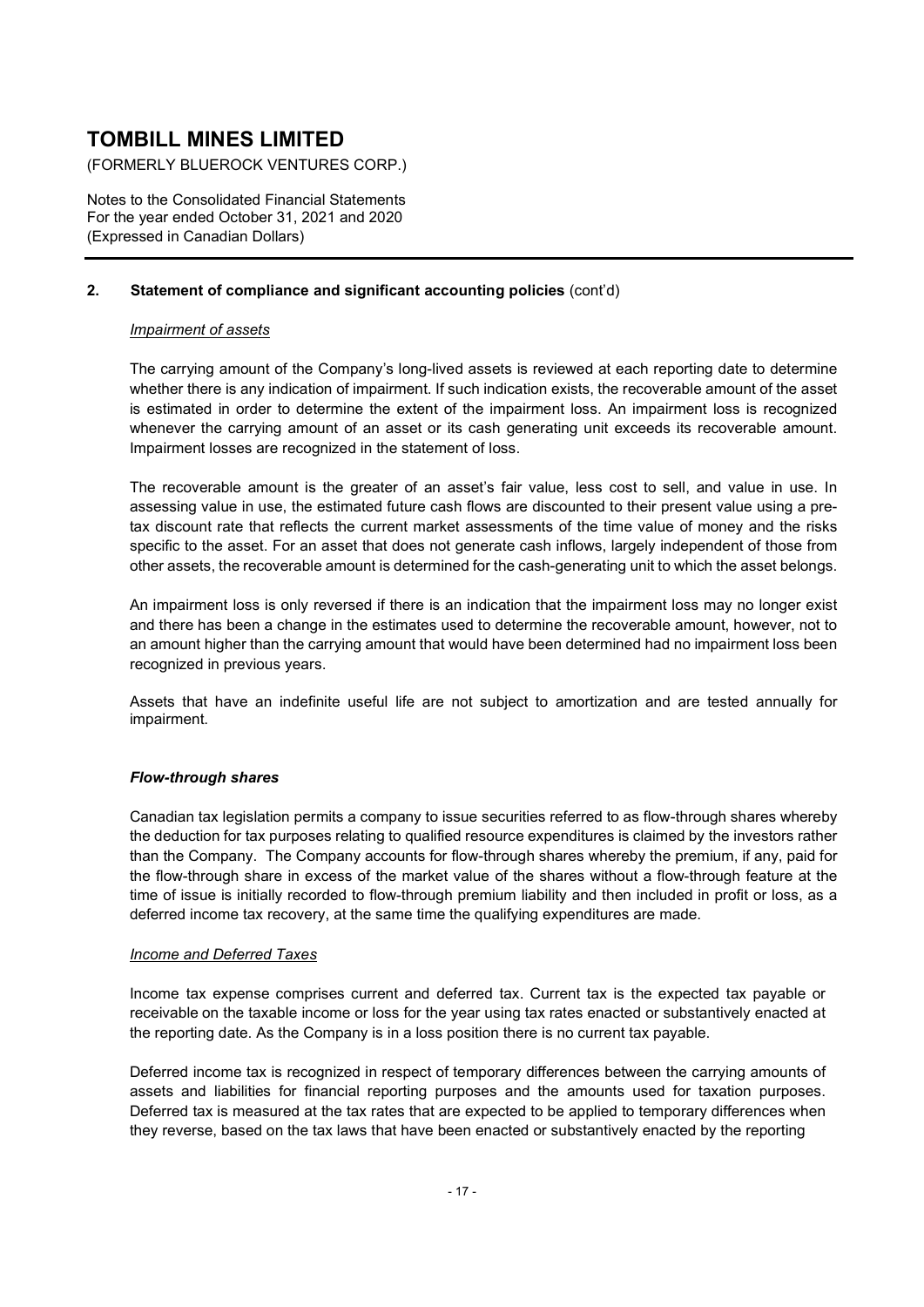(FORMERLY BLUEROCK VENTURES CORP.)

Notes to the Consolidated Financial Statements For the year ended October 31, 2021 and 2020 (Expressed in Canadian Dollars)

# 2. Statement of compliance and significant accounting policies (cont'd)

# Impairment of assets

The carrying amount of the Company's long-lived assets is reviewed at each reporting date to determine whether there is any indication of impairment. If such indication exists, the recoverable amount of the asset is estimated in order to determine the extent of the impairment loss. An impairment loss is recognized whenever the carrying amount of an asset or its cash generating unit exceeds its recoverable amount. Impairment losses are recognized in the statement of loss.

The recoverable amount is the greater of an asset's fair value, less cost to sell, and value in use. In assessing value in use, the estimated future cash flows are discounted to their present value using a pretax discount rate that reflects the current market assessments of the time value of money and the risks specific to the asset. For an asset that does not generate cash inflows, largely independent of those from other assets, the recoverable amount is determined for the cash-generating unit to which the asset belongs.

An impairment loss is only reversed if there is an indication that the impairment loss may no longer exist and there has been a change in the estimates used to determine the recoverable amount, however, not to an amount higher than the carrying amount that would have been determined had no impairment loss been recognized in previous years.

Assets that have an indefinite useful life are not subject to amortization and are tested annually for impairment.

# Flow-through shares

Canadian tax legislation permits a company to issue securities referred to as flow-through shares whereby the deduction for tax purposes relating to qualified resource expenditures is claimed by the investors rather than the Company. The Company accounts for flow-through shares whereby the premium, if any, paid for the flow-through share in excess of the market value of the shares without a flow-through feature at the time of issue is initially recorded to flow-through premium liability and then included in profit or loss, as a deferred income tax recovery, at the same time the qualifying expenditures are made.

# Income and Deferred Taxes

Income tax expense comprises current and deferred tax. Current tax is the expected tax payable or receivable on the taxable income or loss for the year using tax rates enacted or substantively enacted at the reporting date. As the Company is in a loss position there is no current tax payable.

Deferred income tax is recognized in respect of temporary differences between the carrying amounts of assets and liabilities for financial reporting purposes and the amounts used for taxation purposes. Deferred tax is measured at the tax rates that are expected to be applied to temporary differences when they reverse, based on the tax laws that have been enacted or substantively enacted by the reporting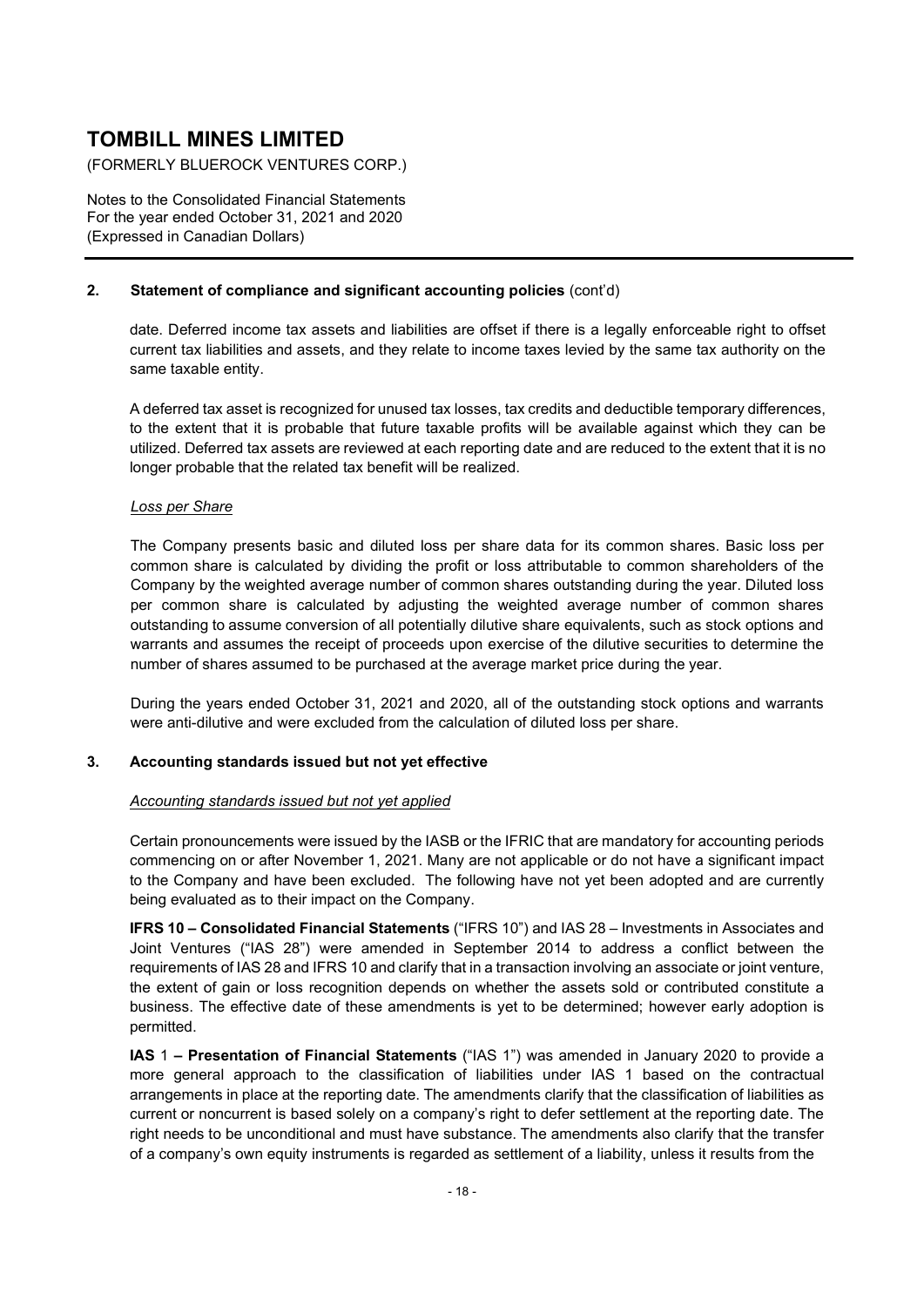(FORMERLY BLUEROCK VENTURES CORP.)

Notes to the Consolidated Financial Statements For the year ended October 31, 2021 and 2020 (Expressed in Canadian Dollars)

# 2. Statement of compliance and significant accounting policies (cont'd)

date. Deferred income tax assets and liabilities are offset if there is a legally enforceable right to offset current tax liabilities and assets, and they relate to income taxes levied by the same tax authority on the same taxable entity.

A deferred tax asset is recognized for unused tax losses, tax credits and deductible temporary differences, to the extent that it is probable that future taxable profits will be available against which they can be utilized. Deferred tax assets are reviewed at each reporting date and are reduced to the extent that it is no longer probable that the related tax benefit will be realized.

# Loss per Share

The Company presents basic and diluted loss per share data for its common shares. Basic loss per common share is calculated by dividing the profit or loss attributable to common shareholders of the Company by the weighted average number of common shares outstanding during the year. Diluted loss per common share is calculated by adjusting the weighted average number of common shares outstanding to assume conversion of all potentially dilutive share equivalents, such as stock options and warrants and assumes the receipt of proceeds upon exercise of the dilutive securities to determine the number of shares assumed to be purchased at the average market price during the year.

During the years ended October 31, 2021 and 2020, all of the outstanding stock options and warrants were anti-dilutive and were excluded from the calculation of diluted loss per share.

# 3. Accounting standards issued but not yet effective

### Accounting standards issued but not yet applied

Certain pronouncements were issued by the IASB or the IFRIC that are mandatory for accounting periods commencing on or after November 1, 2021. Many are not applicable or do not have a significant impact to the Company and have been excluded. The following have not yet been adopted and are currently being evaluated as to their impact on the Company.

IFRS 10 – Consolidated Financial Statements ("IFRS 10") and IAS 28 – Investments in Associates and Joint Ventures ("IAS 28") were amended in September 2014 to address a conflict between the requirements of IAS 28 and IFRS 10 and clarify that in a transaction involving an associate or joint venture, the extent of gain or loss recognition depends on whether the assets sold or contributed constitute a business. The effective date of these amendments is yet to be determined; however early adoption is permitted.

IAS 1 – Presentation of Financial Statements ("IAS 1") was amended in January 2020 to provide a more general approach to the classification of liabilities under IAS 1 based on the contractual arrangements in place at the reporting date. The amendments clarify that the classification of liabilities as current or noncurrent is based solely on a company's right to defer settlement at the reporting date. The right needs to be unconditional and must have substance. The amendments also clarify that the transfer of a company's own equity instruments is regarded as settlement of a liability, unless it results from the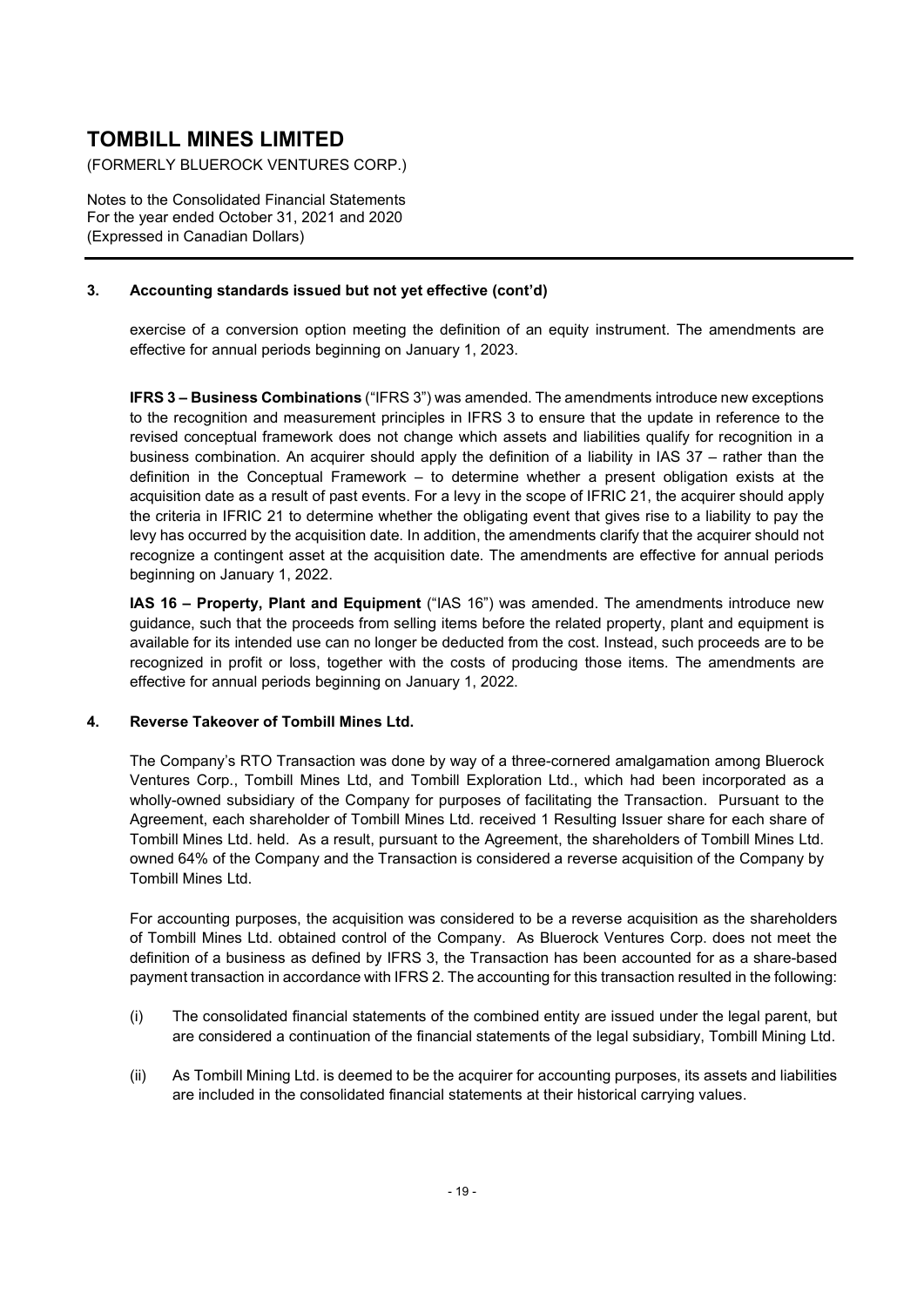(FORMERLY BLUEROCK VENTURES CORP.)

Notes to the Consolidated Financial Statements For the year ended October 31, 2021 and 2020 (Expressed in Canadian Dollars)

# 3. Accounting standards issued but not yet effective (cont'd)

exercise of a conversion option meeting the definition of an equity instrument. The amendments are effective for annual periods beginning on January 1, 2023.

IFRS 3 - Business Combinations ("IFRS 3") was amended. The amendments introduce new exceptions to the recognition and measurement principles in IFRS 3 to ensure that the update in reference to the revised conceptual framework does not change which assets and liabilities qualify for recognition in a business combination. An acquirer should apply the definition of a liability in IAS 37 – rather than the definition in the Conceptual Framework – to determine whether a present obligation exists at the acquisition date as a result of past events. For a levy in the scope of IFRIC 21, the acquirer should apply the criteria in IFRIC 21 to determine whether the obligating event that gives rise to a liability to pay the levy has occurred by the acquisition date. In addition, the amendments clarify that the acquirer should not recognize a contingent asset at the acquisition date. The amendments are effective for annual periods beginning on January 1, 2022.

IAS 16 – Property, Plant and Equipment ("IAS 16") was amended. The amendments introduce new guidance, such that the proceeds from selling items before the related property, plant and equipment is available for its intended use can no longer be deducted from the cost. Instead, such proceeds are to be recognized in profit or loss, together with the costs of producing those items. The amendments are effective for annual periods beginning on January 1, 2022.

# 4. Reverse Takeover of Tombill Mines Ltd.

The Company's RTO Transaction was done by way of a three-cornered amalgamation among Bluerock Ventures Corp., Tombill Mines Ltd, and Tombill Exploration Ltd., which had been incorporated as a wholly-owned subsidiary of the Company for purposes of facilitating the Transaction. Pursuant to the Agreement, each shareholder of Tombill Mines Ltd. received 1 Resulting Issuer share for each share of Tombill Mines Ltd. held. As a result, pursuant to the Agreement, the shareholders of Tombill Mines Ltd. owned 64% of the Company and the Transaction is considered a reverse acquisition of the Company by Tombill Mines Ltd.

For accounting purposes, the acquisition was considered to be a reverse acquisition as the shareholders of Tombill Mines Ltd. obtained control of the Company. As Bluerock Ventures Corp. does not meet the definition of a business as defined by IFRS 3, the Transaction has been accounted for as a share-based payment transaction in accordance with IFRS 2. The accounting for this transaction resulted in the following:

- (i) The consolidated financial statements of the combined entity are issued under the legal parent, but are considered a continuation of the financial statements of the legal subsidiary, Tombill Mining Ltd.
- (ii) As Tombill Mining Ltd. is deemed to be the acquirer for accounting purposes, its assets and liabilities are included in the consolidated financial statements at their historical carrying values.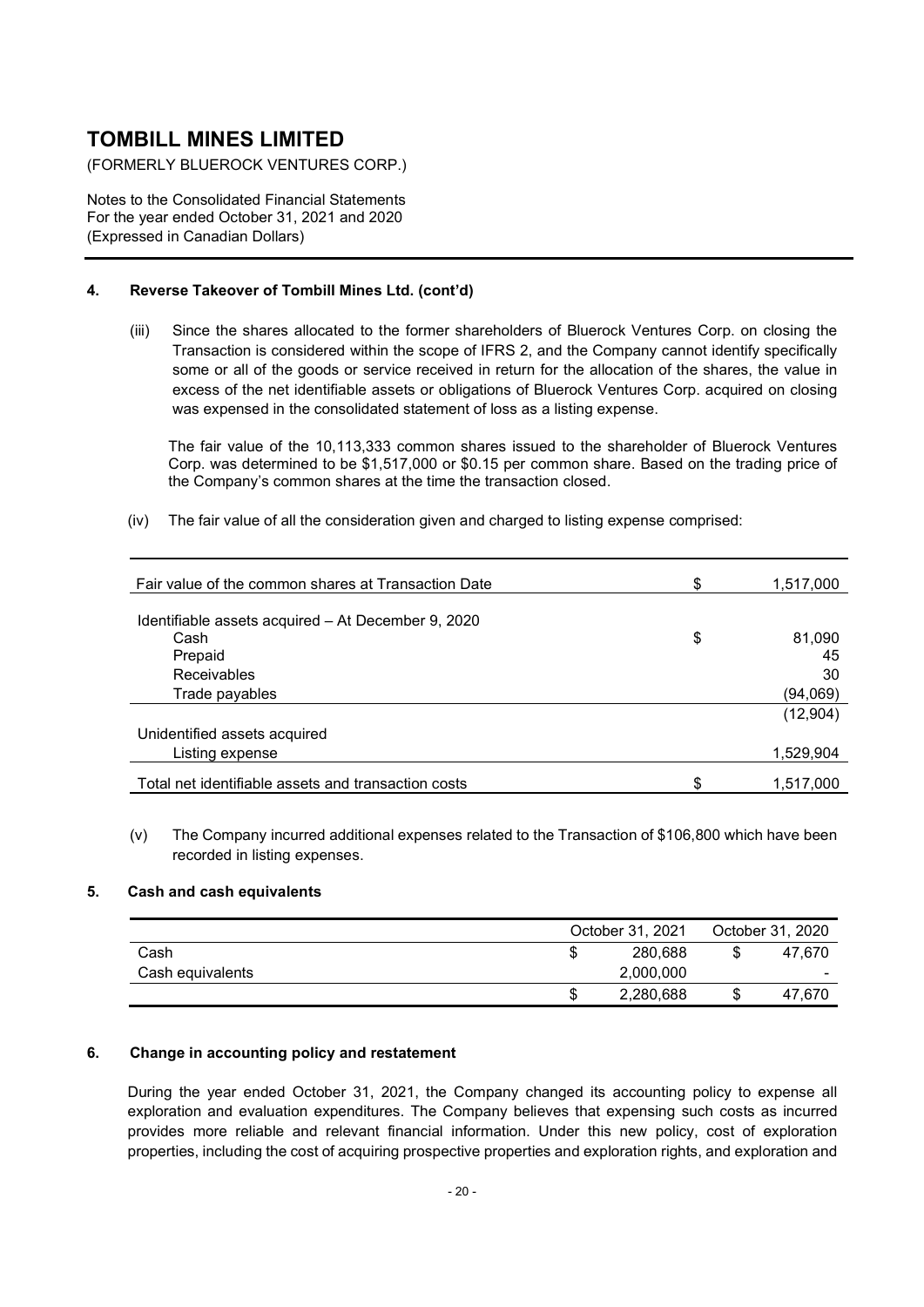(FORMERLY BLUEROCK VENTURES CORP.)

Notes to the Consolidated Financial Statements For the year ended October 31, 2021 and 2020 (Expressed in Canadian Dollars)

# 4. Reverse Takeover of Tombill Mines Ltd. (cont'd)

(iii) Since the shares allocated to the former shareholders of Bluerock Ventures Corp. on closing the Transaction is considered within the scope of IFRS 2, and the Company cannot identify specifically some or all of the goods or service received in return for the allocation of the shares, the value in excess of the net identifiable assets or obligations of Bluerock Ventures Corp. acquired on closing was expensed in the consolidated statement of loss as a listing expense.

The fair value of the 10,113,333 common shares issued to the shareholder of Bluerock Ventures Corp. was determined to be \$1,517,000 or \$0.15 per common share. Based on the trading price of the Company's common shares at the time the transaction closed.

(iv) The fair value of all the consideration given and charged to listing expense comprised:

| Fair value of the common shares at Transaction Date | \$<br>1,517,000 |
|-----------------------------------------------------|-----------------|
|                                                     |                 |
| Identifiable assets acquired - At December 9, 2020  |                 |
| Cash                                                | \$<br>81,090    |
| Prepaid                                             | 45              |
| Receivables                                         | 30              |
| Trade payables                                      | (94, 069)       |
|                                                     | (12,904)        |
| Unidentified assets acquired                        |                 |
| Listing expense                                     | 1,529,904       |
|                                                     |                 |
| Total net identifiable assets and transaction costs | 1,517,000       |

(v) The Company incurred additional expenses related to the Transaction of \$106,800 which have been recorded in listing expenses.

# 5. Cash and cash equivalents

|                  | October 31, 2021 |   | October 31, 2020         |  |  |
|------------------|------------------|---|--------------------------|--|--|
| Cash             | 280.688          | S | 47.670                   |  |  |
| Cash equivalents | 2,000,000        |   | $\overline{\phantom{0}}$ |  |  |
|                  | 2,280,688        | J | 47.670                   |  |  |

# 6. Change in accounting policy and restatement

During the year ended October 31, 2021, the Company changed its accounting policy to expense all exploration and evaluation expenditures. The Company believes that expensing such costs as incurred provides more reliable and relevant financial information. Under this new policy, cost of exploration properties, including the cost of acquiring prospective properties and exploration rights, and exploration and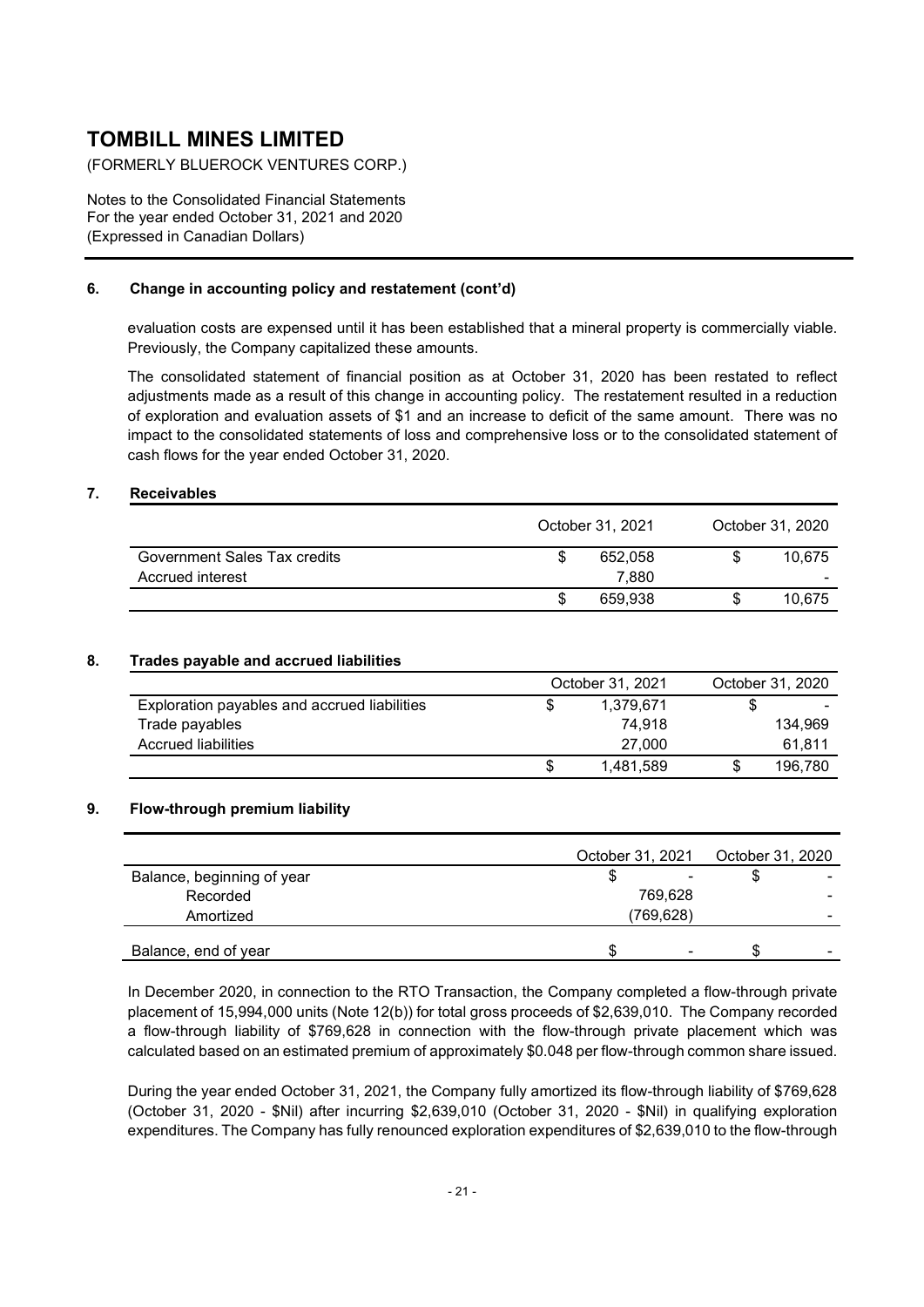(FORMERLY BLUEROCK VENTURES CORP.)

Notes to the Consolidated Financial Statements For the year ended October 31, 2021 and 2020 (Expressed in Canadian Dollars)

# 6. Change in accounting policy and restatement (cont'd)

evaluation costs are expensed until it has been established that a mineral property is commercially viable. Previously, the Company capitalized these amounts.

The consolidated statement of financial position as at October 31, 2020 has been restated to reflect adjustments made as a result of this change in accounting policy. The restatement resulted in a reduction of exploration and evaluation assets of \$1 and an increase to deficit of the same amount. There was no impact to the consolidated statements of loss and comprehensive loss or to the consolidated statement of cash flows for the year ended October 31, 2020.

### 7. Receivables

|                              | October 31, 2021 | October 31, 2020 |    |        |
|------------------------------|------------------|------------------|----|--------|
| Government Sales Tax credits |                  | 652.058          | \$ | 10.675 |
| Accrued interest             |                  | 7.880            |    | -      |
|                              |                  | 659.938          | S  | 10,675 |

### 8. Trades payable and accrued liabilities

|                                              |   | October 31, 2021 | October 31, 2020 |                          |  |
|----------------------------------------------|---|------------------|------------------|--------------------------|--|
| Exploration payables and accrued liabilities |   | 1.379.671        |                  | $\overline{\phantom{a}}$ |  |
| Trade payables                               |   | 74.918           |                  | 134,969                  |  |
| Accrued liabilities                          |   | 27,000           |                  | 61,811                   |  |
|                                              | S | 1.481.589        | S                | 196,780                  |  |

# 9. Flow-through premium liability

|                            | October 31, 2021 | October 31, 2020 |  |   |
|----------------------------|------------------|------------------|--|---|
| Balance, beginning of year |                  |                  |  |   |
| Recorded                   | 769,628          |                  |  |   |
| Amortized                  | (769,628)        |                  |  |   |
|                            |                  |                  |  |   |
| Balance, end of year       |                  |                  |  | - |

In December 2020, in connection to the RTO Transaction, the Company completed a flow-through private placement of 15,994,000 units (Note 12(b)) for total gross proceeds of \$2,639,010. The Company recorded a flow-through liability of \$769,628 in connection with the flow-through private placement which was calculated based on an estimated premium of approximately \$0.048 per flow-through common share issued.

During the year ended October 31, 2021, the Company fully amortized its flow-through liability of \$769,628 (October 31, 2020 - \$Nil) after incurring \$2,639,010 (October 31, 2020 - \$Nil) in qualifying exploration expenditures. The Company has fully renounced exploration expenditures of \$2,639,010 to the flow-through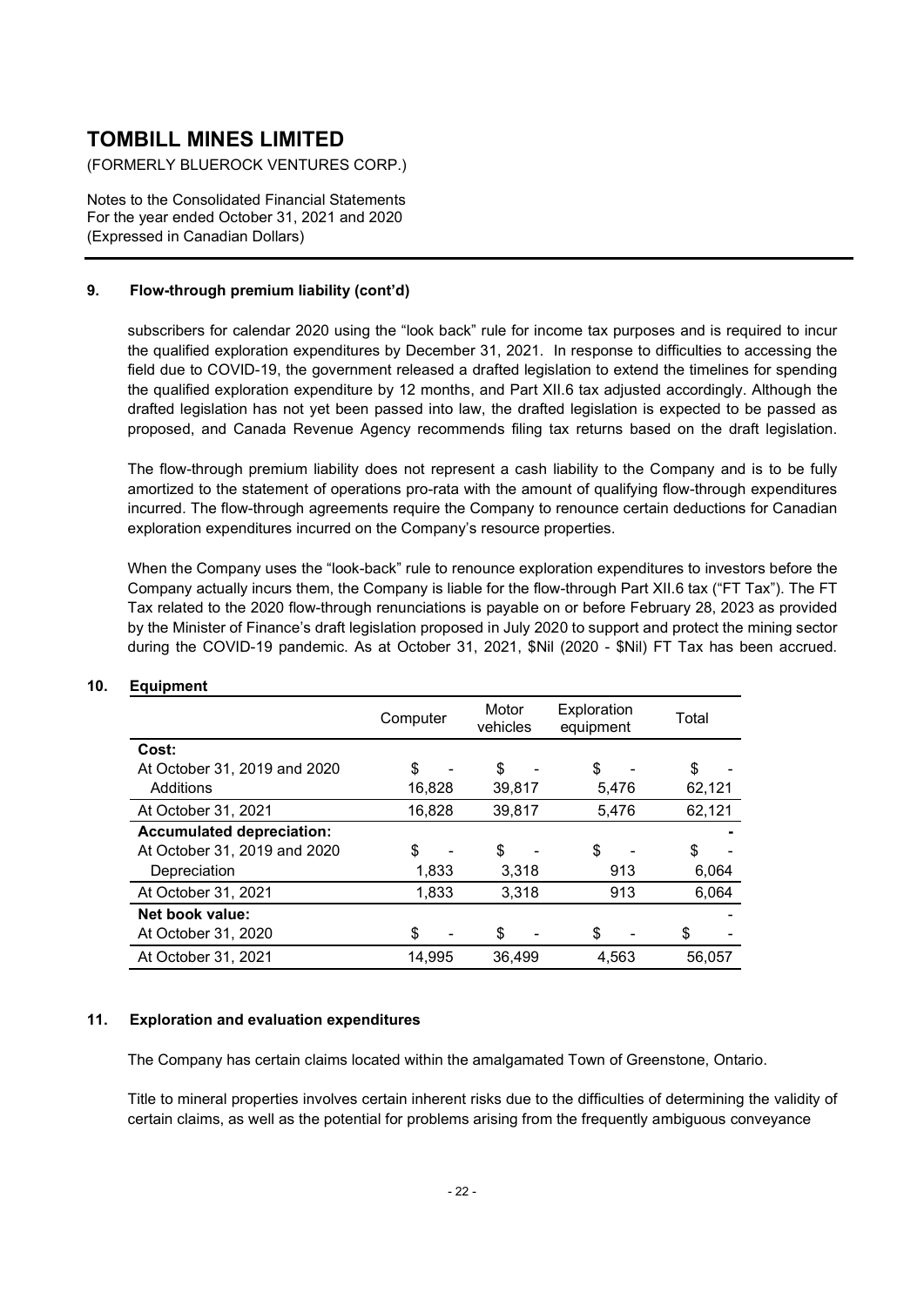(FORMERLY BLUEROCK VENTURES CORP.)

Notes to the Consolidated Financial Statements For the year ended October 31, 2021 and 2020 (Expressed in Canadian Dollars)

### 9. Flow-through premium liability (cont'd)

subscribers for calendar 2020 using the "look back" rule for income tax purposes and is required to incur the qualified exploration expenditures by December 31, 2021. In response to difficulties to accessing the field due to COVID-19, the government released a drafted legislation to extend the timelines for spending the qualified exploration expenditure by 12 months, and Part XII.6 tax adjusted accordingly. Although the drafted legislation has not yet been passed into law, the drafted legislation is expected to be passed as proposed, and Canada Revenue Agency recommends filing tax returns based on the draft legislation.

The flow-through premium liability does not represent a cash liability to the Company and is to be fully amortized to the statement of operations pro-rata with the amount of qualifying flow-through expenditures incurred. The flow-through agreements require the Company to renounce certain deductions for Canadian exploration expenditures incurred on the Company's resource properties.

When the Company uses the "look-back" rule to renounce exploration expenditures to investors before the Company actually incurs them, the Company is liable for the flow-through Part XII.6 tax ("FT Tax"). The FT Tax related to the 2020 flow-through renunciations is payable on or before February 28, 2023 as provided by the Minister of Finance's draft legislation proposed in July 2020 to support and protect the mining sector during the COVID-19 pandemic. As at October 31, 2021, \$Nil (2020 - \$Nil) FT Tax has been accrued.

|                                  | Computer | Motor<br>vehicles | Exploration<br>equipment | Total  |
|----------------------------------|----------|-------------------|--------------------------|--------|
| Cost:                            |          |                   |                          |        |
| At October 31, 2019 and 2020     | \$       | \$                | \$                       | \$     |
| Additions                        | 16,828   | 39,817            | 5,476                    | 62,121 |
| At October 31, 2021              | 16,828   | 39,817            | 5,476                    | 62,121 |
| <b>Accumulated depreciation:</b> |          |                   |                          |        |
| At October 31, 2019 and 2020     | \$       | \$                | \$                       | \$     |
| Depreciation                     | 1,833    | 3,318             | 913                      | 6,064  |
| At October 31, 2021              | 1,833    | 3,318             | 913                      | 6,064  |
| Net book value:                  |          |                   |                          |        |
| At October 31, 2020              | \$       | \$                | \$                       | \$     |
| At October 31, 2021              | 14,995   | 36,499            | 4,563                    | 56,057 |

# 10. Equipment

### 11. Exploration and evaluation expenditures

The Company has certain claims located within the amalgamated Town of Greenstone, Ontario.

Title to mineral properties involves certain inherent risks due to the difficulties of determining the validity of certain claims, as well as the potential for problems arising from the frequently ambiguous conveyance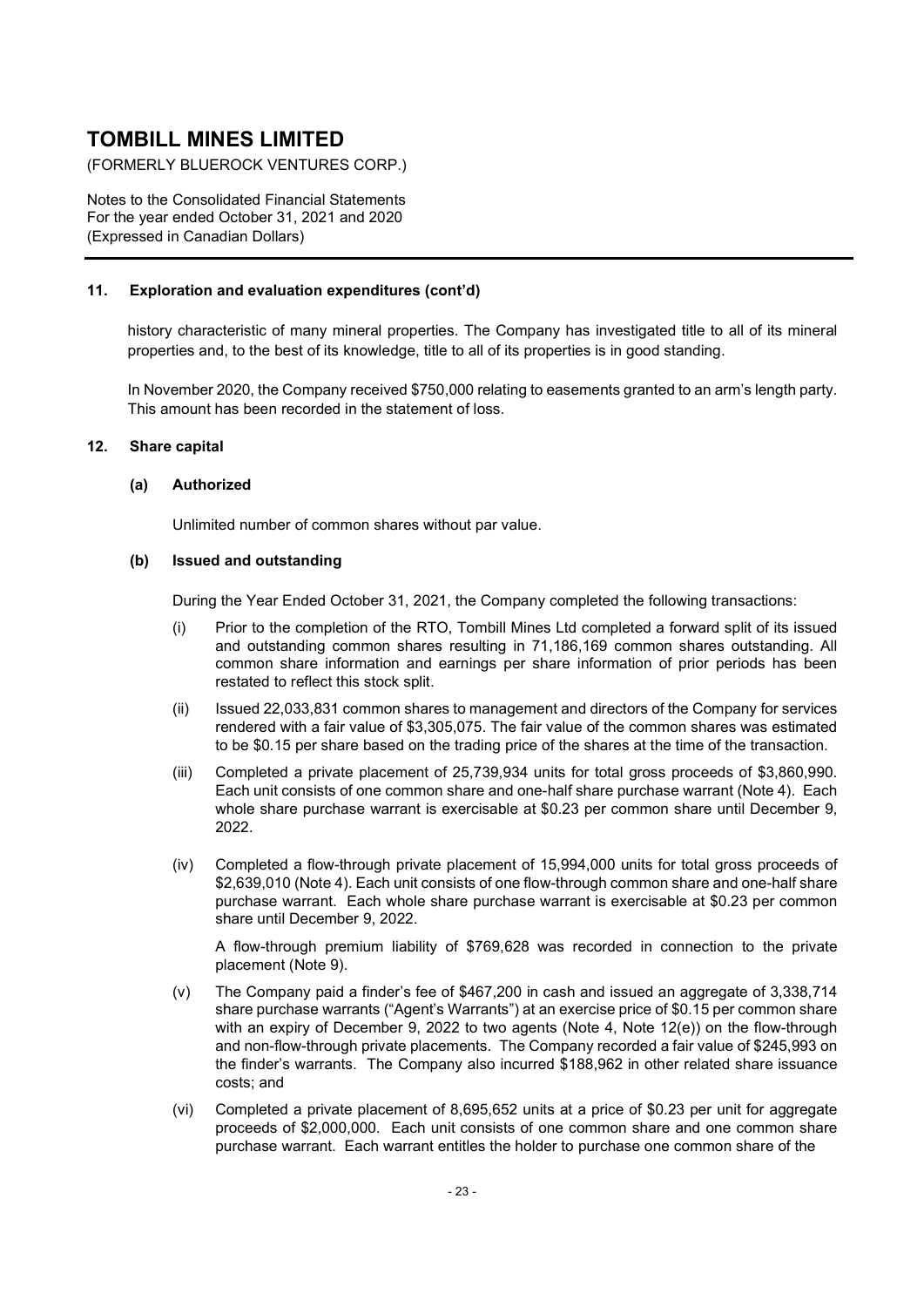(FORMERLY BLUEROCK VENTURES CORP.)

Notes to the Consolidated Financial Statements For the year ended October 31, 2021 and 2020 (Expressed in Canadian Dollars)

### 11. Exploration and evaluation expenditures (cont'd)

history characteristic of many mineral properties. The Company has investigated title to all of its mineral properties and, to the best of its knowledge, title to all of its properties is in good standing.

In November 2020, the Company received \$750,000 relating to easements granted to an arm's length party. This amount has been recorded in the statement of loss.

### 12. Share capital

### (a) Authorized

Unlimited number of common shares without par value.

### (b) Issued and outstanding

During the Year Ended October 31, 2021, the Company completed the following transactions:

- (i) Prior to the completion of the RTO, Tombill Mines Ltd completed a forward split of its issued and outstanding common shares resulting in 71,186,169 common shares outstanding. All common share information and earnings per share information of prior periods has been restated to reflect this stock split.
- (ii) Issued 22,033,831 common shares to management and directors of the Company for services rendered with a fair value of \$3,305,075. The fair value of the common shares was estimated to be \$0.15 per share based on the trading price of the shares at the time of the transaction.
- (iii) Completed a private placement of 25,739,934 units for total gross proceeds of \$3,860,990. Each unit consists of one common share and one-half share purchase warrant (Note 4). Each whole share purchase warrant is exercisable at \$0.23 per common share until December 9, 2022.
- (iv) Completed a flow-through private placement of 15,994,000 units for total gross proceeds of \$2,639,010 (Note 4). Each unit consists of one flow-through common share and one-half share purchase warrant. Each whole share purchase warrant is exercisable at \$0.23 per common share until December 9, 2022.

A flow-through premium liability of \$769,628 was recorded in connection to the private placement (Note 9).

- (v) The Company paid a finder's fee of \$467,200 in cash and issued an aggregate of 3,338,714 share purchase warrants ("Agent's Warrants") at an exercise price of \$0.15 per common share with an expiry of December 9, 2022 to two agents (Note 4, Note 12(e)) on the flow-through and non-flow-through private placements. The Company recorded a fair value of \$245,993 on the finder's warrants. The Company also incurred \$188,962 in other related share issuance costs; and
- (vi) Completed a private placement of 8,695,652 units at a price of \$0.23 per unit for aggregate proceeds of \$2,000,000. Each unit consists of one common share and one common share purchase warrant. Each warrant entitles the holder to purchase one common share of the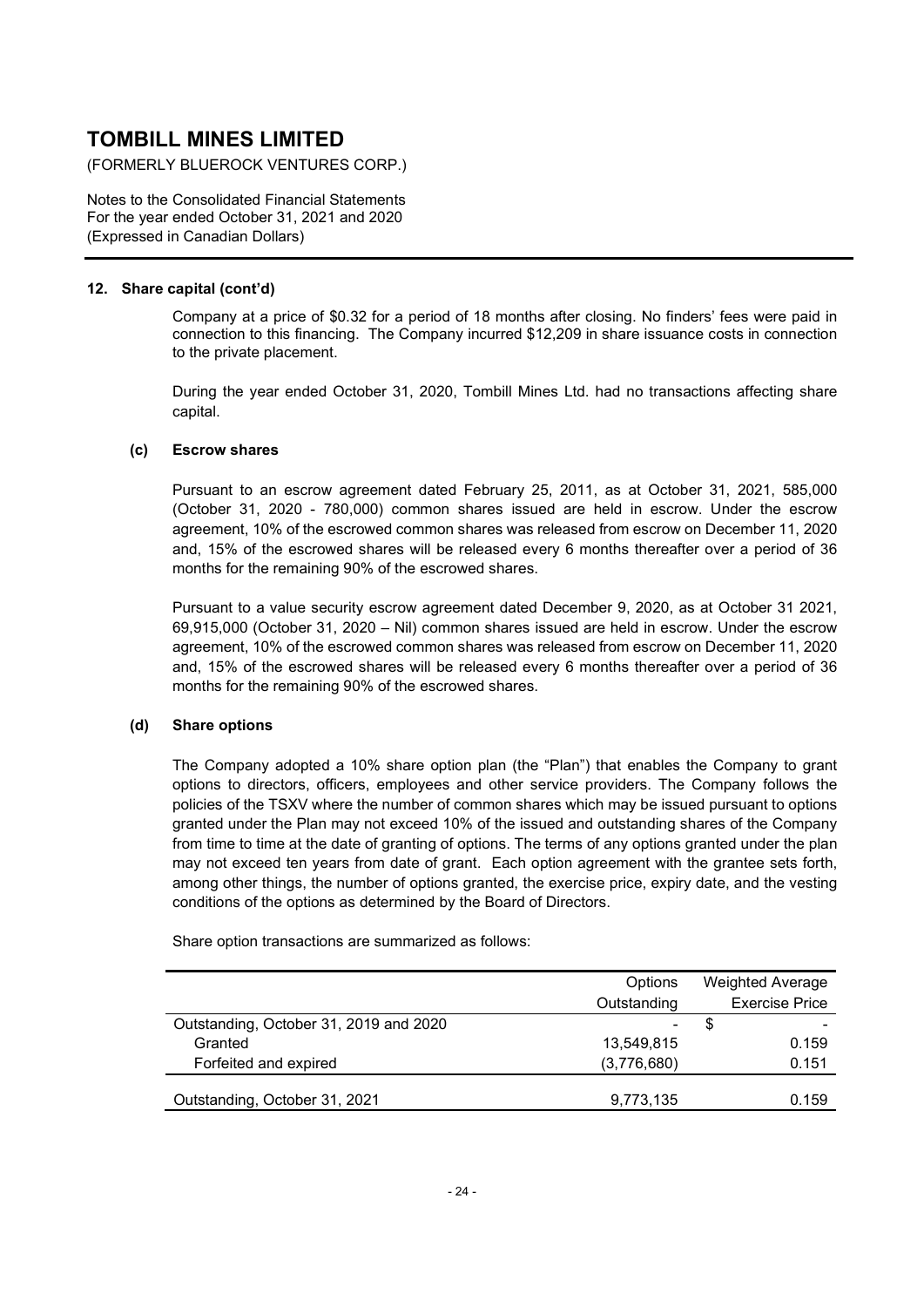(FORMERLY BLUEROCK VENTURES CORP.)

Notes to the Consolidated Financial Statements For the year ended October 31, 2021 and 2020 (Expressed in Canadian Dollars)

### 12. Share capital (cont'd)

Company at a price of \$0.32 for a period of 18 months after closing. No finders' fees were paid in connection to this financing. The Company incurred \$12,209 in share issuance costs in connection to the private placement.

During the year ended October 31, 2020, Tombill Mines Ltd. had no transactions affecting share capital.

### (c) Escrow shares

Pursuant to an escrow agreement dated February 25, 2011, as at October 31, 2021, 585,000 (October 31, 2020 - 780,000) common shares issued are held in escrow. Under the escrow agreement, 10% of the escrowed common shares was released from escrow on December 11, 2020 and, 15% of the escrowed shares will be released every 6 months thereafter over a period of 36 months for the remaining 90% of the escrowed shares.

Pursuant to a value security escrow agreement dated December 9, 2020, as at October 31 2021, 69,915,000 (October 31, 2020 – Nil) common shares issued are held in escrow. Under the escrow agreement, 10% of the escrowed common shares was released from escrow on December 11, 2020 and, 15% of the escrowed shares will be released every 6 months thereafter over a period of 36 months for the remaining 90% of the escrowed shares.

### (d) Share options

The Company adopted a 10% share option plan (the "Plan") that enables the Company to grant options to directors, officers, employees and other service providers. The Company follows the policies of the TSXV where the number of common shares which may be issued pursuant to options granted under the Plan may not exceed 10% of the issued and outstanding shares of the Company from time to time at the date of granting of options. The terms of any options granted under the plan may not exceed ten years from date of grant. Each option agreement with the grantee sets forth, among other things, the number of options granted, the exercise price, expiry date, and the vesting conditions of the options as determined by the Board of Directors.

 Options Weighted Average Outstanding Exercise Price Outstanding, October 31, 2019 and 2020 **- \$**  $\frac{1}{3}$ Granted **13,549,815** 0.159 Forfeited and expired (3,776,680) 0.151

Outstanding, October 31, 2021 9,773,135 0.159

Share option transactions are summarized as follows: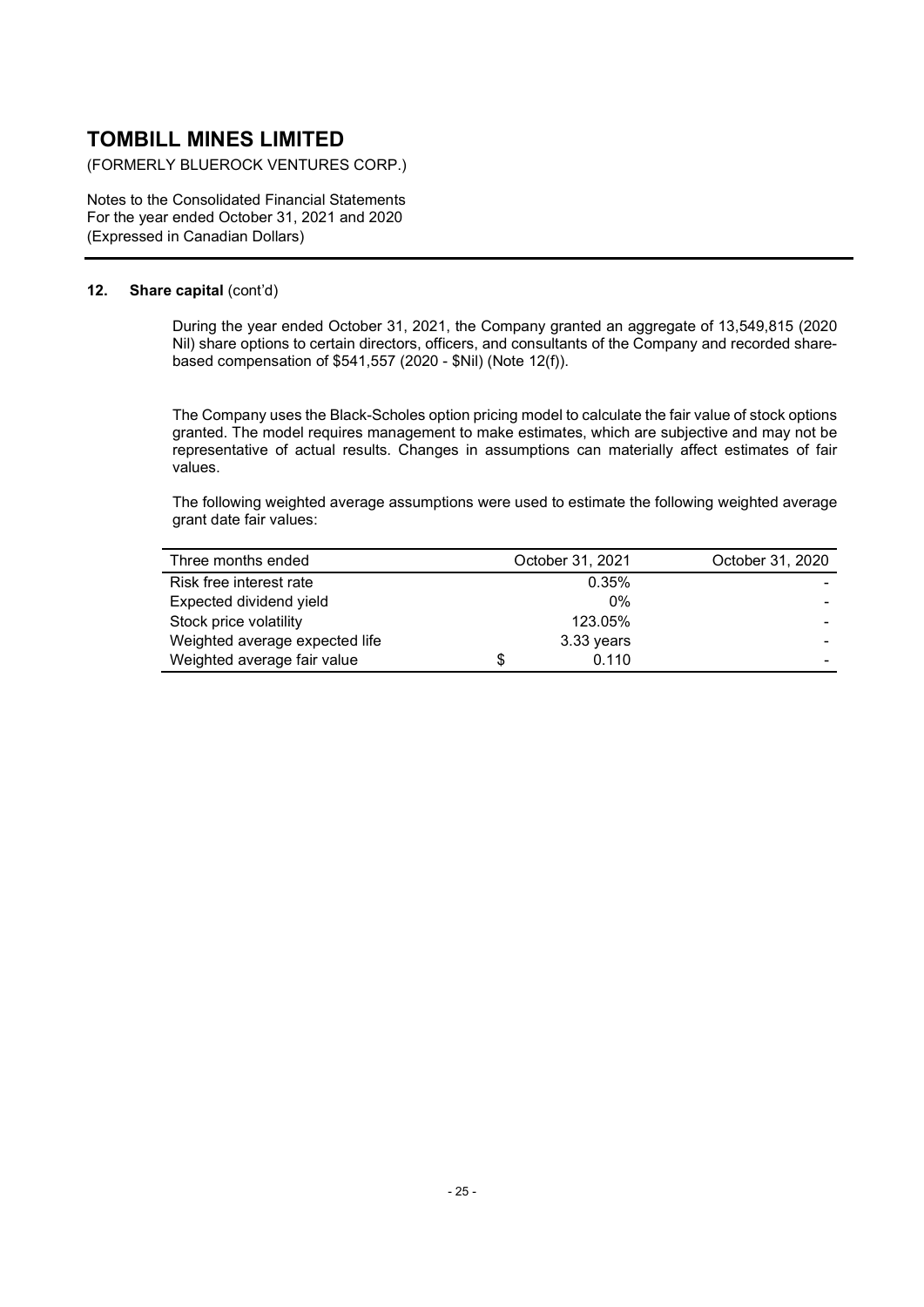(FORMERLY BLUEROCK VENTURES CORP.)

Notes to the Consolidated Financial Statements For the year ended October 31, 2021 and 2020 (Expressed in Canadian Dollars)

### 12. Share capital (cont'd)

During the year ended October 31, 2021, the Company granted an aggregate of 13,549,815 (2020 Nil) share options to certain directors, officers, and consultants of the Company and recorded sharebased compensation of \$541,557 (2020 - \$Nil) (Note 12(f)).

The Company uses the Black-Scholes option pricing model to calculate the fair value of stock options granted. The model requires management to make estimates, which are subjective and may not be representative of actual results. Changes in assumptions can materially affect estimates of fair values.

The following weighted average assumptions were used to estimate the following weighted average grant date fair values:

| Three months ended             | October 31, 2021 | October 31, 2020 |
|--------------------------------|------------------|------------------|
| Risk free interest rate        | 0.35%            |                  |
| Expected dividend yield        | $0\%$            | -                |
| Stock price volatility         | 123.05%          |                  |
| Weighted average expected life | 3.33 years       |                  |
| Weighted average fair value    | 0.110            |                  |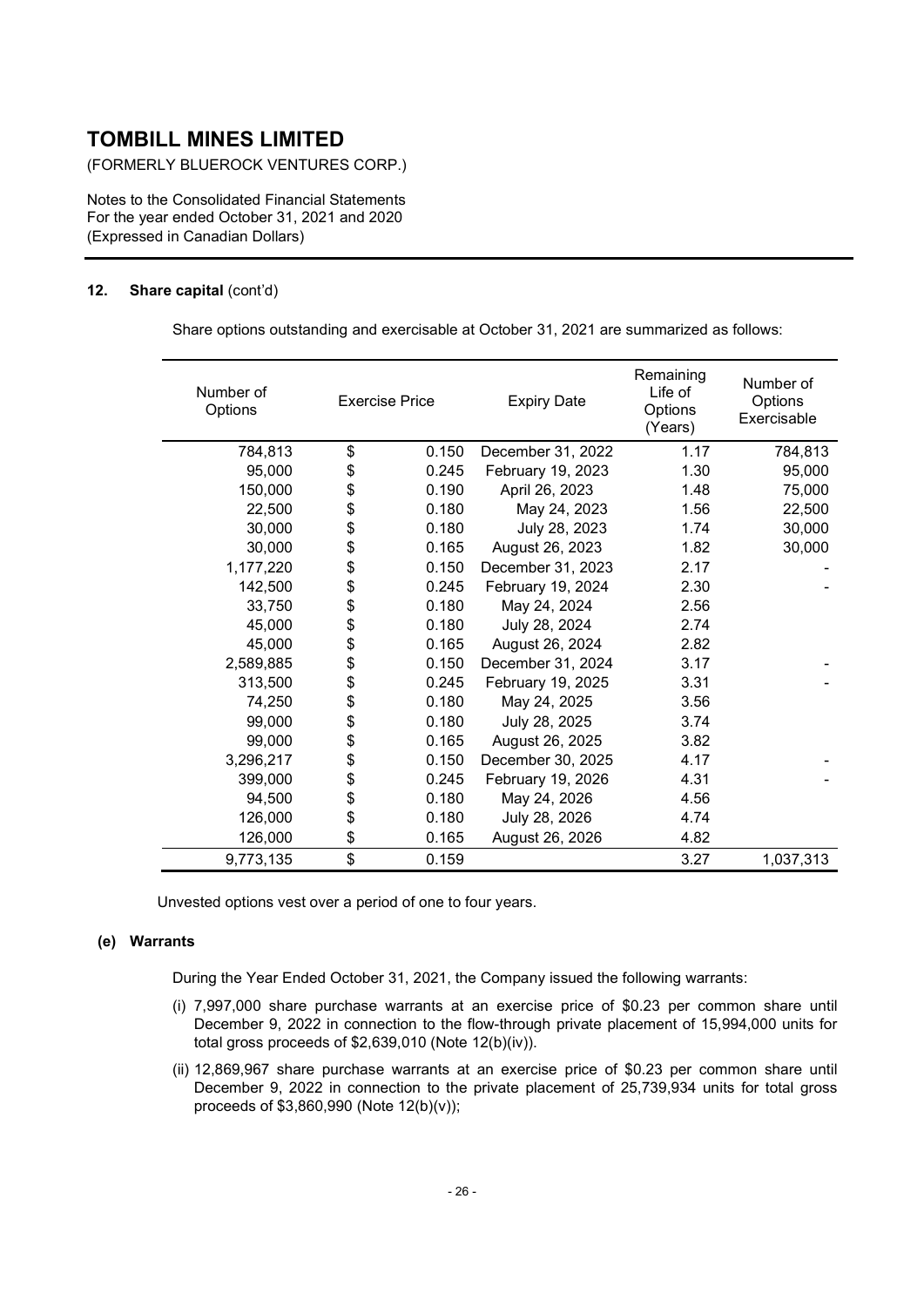(FORMERLY BLUEROCK VENTURES CORP.)

Notes to the Consolidated Financial Statements For the year ended October 31, 2021 and 2020 (Expressed in Canadian Dollars)

# 12. Share capital (cont'd)

Share options outstanding and exercisable at October 31, 2021 are summarized as follows:

| Number of<br>Options | <b>Exercise Price</b> | <b>Expiry Date</b> | Remaining<br>Life of<br>Options<br>(Years) | Number of<br>Options<br>Exercisable |
|----------------------|-----------------------|--------------------|--------------------------------------------|-------------------------------------|
| 784,813              | \$<br>0.150           | December 31, 2022  | 1.17                                       | 784,813                             |
| 95,000               | \$<br>0.245           | February 19, 2023  | 1.30                                       | 95,000                              |
| 150,000              | \$<br>0.190           | April 26, 2023     | 1.48                                       | 75,000                              |
| 22,500               | \$<br>0.180           | May 24, 2023       | 1.56                                       | 22,500                              |
| 30,000               | \$<br>0.180           | July 28, 2023      | 1.74                                       | 30,000                              |
| 30,000               | \$<br>0.165           | August 26, 2023    | 1.82                                       | 30,000                              |
| 1,177,220            | \$<br>0.150           | December 31, 2023  | 2.17                                       |                                     |
| 142,500              | \$<br>0.245           | February 19, 2024  | 2.30                                       |                                     |
| 33,750               | \$<br>0.180           | May 24, 2024       | 2.56                                       |                                     |
| 45,000               | \$<br>0.180           | July 28, 2024      | 2.74                                       |                                     |
| 45,000               | \$<br>0.165           | August 26, 2024    | 2.82                                       |                                     |
| 2,589,885            | \$<br>0.150           | December 31, 2024  | 3.17                                       |                                     |
| 313,500              | \$<br>0.245           | February 19, 2025  | 3.31                                       |                                     |
| 74,250               | \$<br>0.180           | May 24, 2025       | 3.56                                       |                                     |
| 99,000               | \$<br>0.180           | July 28, 2025      | 3.74                                       |                                     |
| 99,000               | \$<br>0.165           | August 26, 2025    | 3.82                                       |                                     |
| 3,296,217            | \$<br>0.150           | December 30, 2025  | 4.17                                       |                                     |
| 399,000              | \$<br>0.245           | February 19, 2026  | 4.31                                       |                                     |
| 94,500               | \$<br>0.180           | May 24, 2026       | 4.56                                       |                                     |
| 126,000              | \$<br>0.180           | July 28, 2026      | 4.74                                       |                                     |
| 126,000              | \$<br>0.165           | August 26, 2026    | 4.82                                       |                                     |
| 9,773,135            | \$<br>0.159           |                    | 3.27                                       | 1,037,313                           |

Unvested options vest over a period of one to four years.

### (e) Warrants

During the Year Ended October 31, 2021, the Company issued the following warrants:

- (i) 7,997,000 share purchase warrants at an exercise price of \$0.23 per common share until December 9, 2022 in connection to the flow-through private placement of 15,994,000 units for total gross proceeds of \$2,639,010 (Note 12(b)(iv)).
- (ii) 12,869,967 share purchase warrants at an exercise price of \$0.23 per common share until December 9, 2022 in connection to the private placement of 25,739,934 units for total gross proceeds of \$3,860,990 (Note 12(b)(v));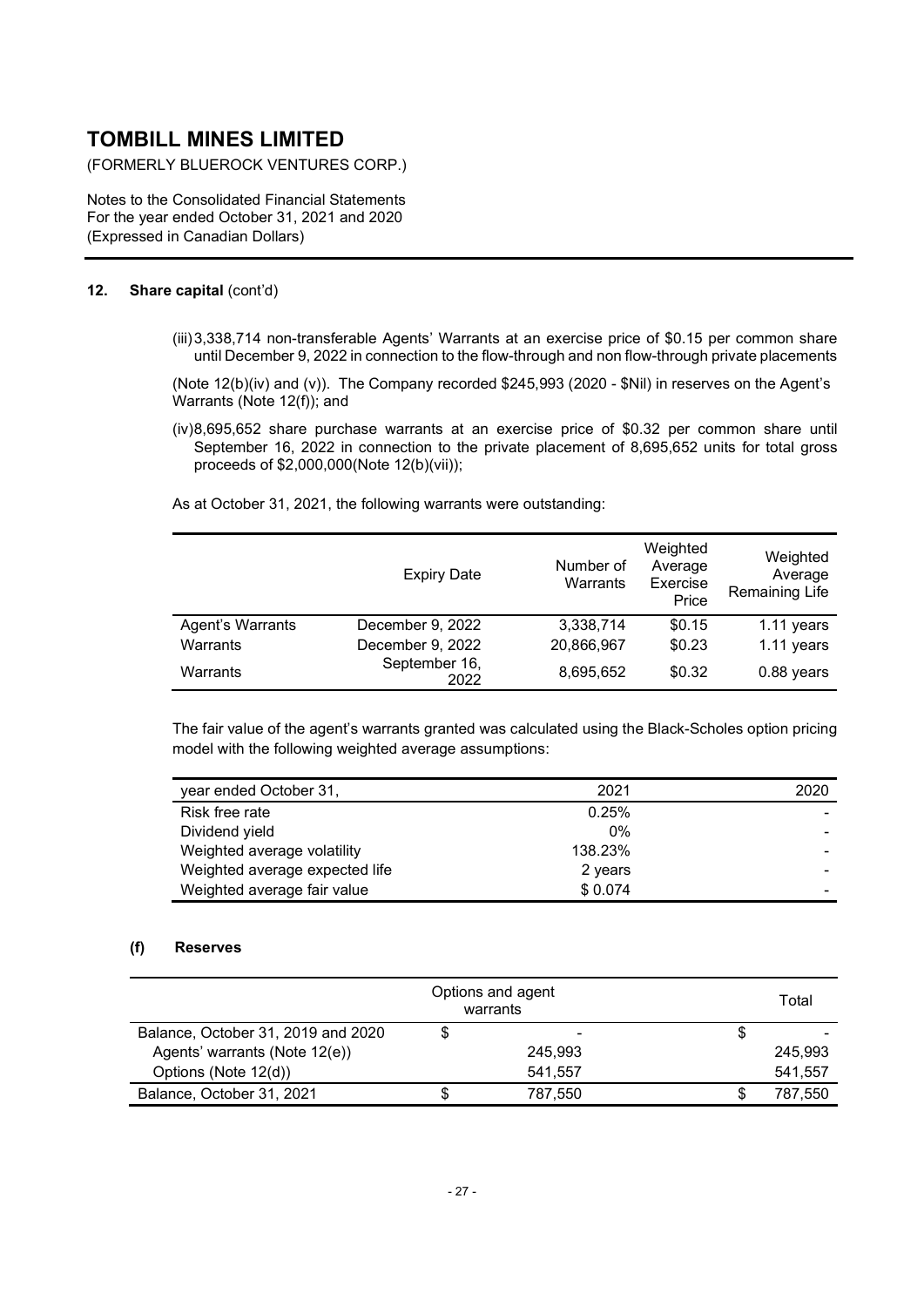(FORMERLY BLUEROCK VENTURES CORP.)

Notes to the Consolidated Financial Statements For the year ended October 31, 2021 and 2020 (Expressed in Canadian Dollars)

### 12. Share capital (cont'd)

(iii) 3,338,714 non-transferable Agents' Warrants at an exercise price of \$0.15 per common share until December 9, 2022 in connection to the flow-through and non flow-through private placements

(Note 12(b)(iv) and (v)). The Company recorded \$245,993 (2020 - \$Nil) in reserves on the Agent's Warrants (Note 12(f)); and

(iv) 8,695,652 share purchase warrants at an exercise price of \$0.32 per common share until September 16, 2022 in connection to the private placement of 8,695,652 units for total gross proceeds of \$2,000,000(Note 12(b)(vii));

As at October 31, 2021, the following warrants were outstanding:

|                  | <b>Expiry Date</b>    | Number of<br>Warrants | Weighted<br>Average<br>Exercise<br>Price | Weighted<br>Average<br>Remaining Life |
|------------------|-----------------------|-----------------------|------------------------------------------|---------------------------------------|
| Agent's Warrants | December 9, 2022      | 3,338,714             | \$0.15                                   | 1.11 years                            |
| Warrants         | December 9, 2022      | 20,866,967            | \$0.23                                   | 1.11 years                            |
| Warrants         | September 16,<br>2022 | 8,695,652             | \$0.32                                   | 0.88 years                            |

The fair value of the agent's warrants granted was calculated using the Black-Scholes option pricing model with the following weighted average assumptions:

| year ended October 31,         | 2021    | 2020 |
|--------------------------------|---------|------|
| Risk free rate                 | 0.25%   |      |
| Dividend yield                 | $0\%$   |      |
| Weighted average volatility    | 138.23% | -    |
| Weighted average expected life | 2 years | -    |
| Weighted average fair value    | \$0.074 | -    |

### (f) Reserves

| Options and agent<br>warrants      |  |         | Total   |
|------------------------------------|--|---------|---------|
| Balance, October 31, 2019 and 2020 |  | -       |         |
| Agents' warrants (Note 12(e))      |  | 245,993 | 245,993 |
| Options (Note 12(d))               |  | 541.557 | 541,557 |
| Balance, October 31, 2021          |  | 787.550 | 787.550 |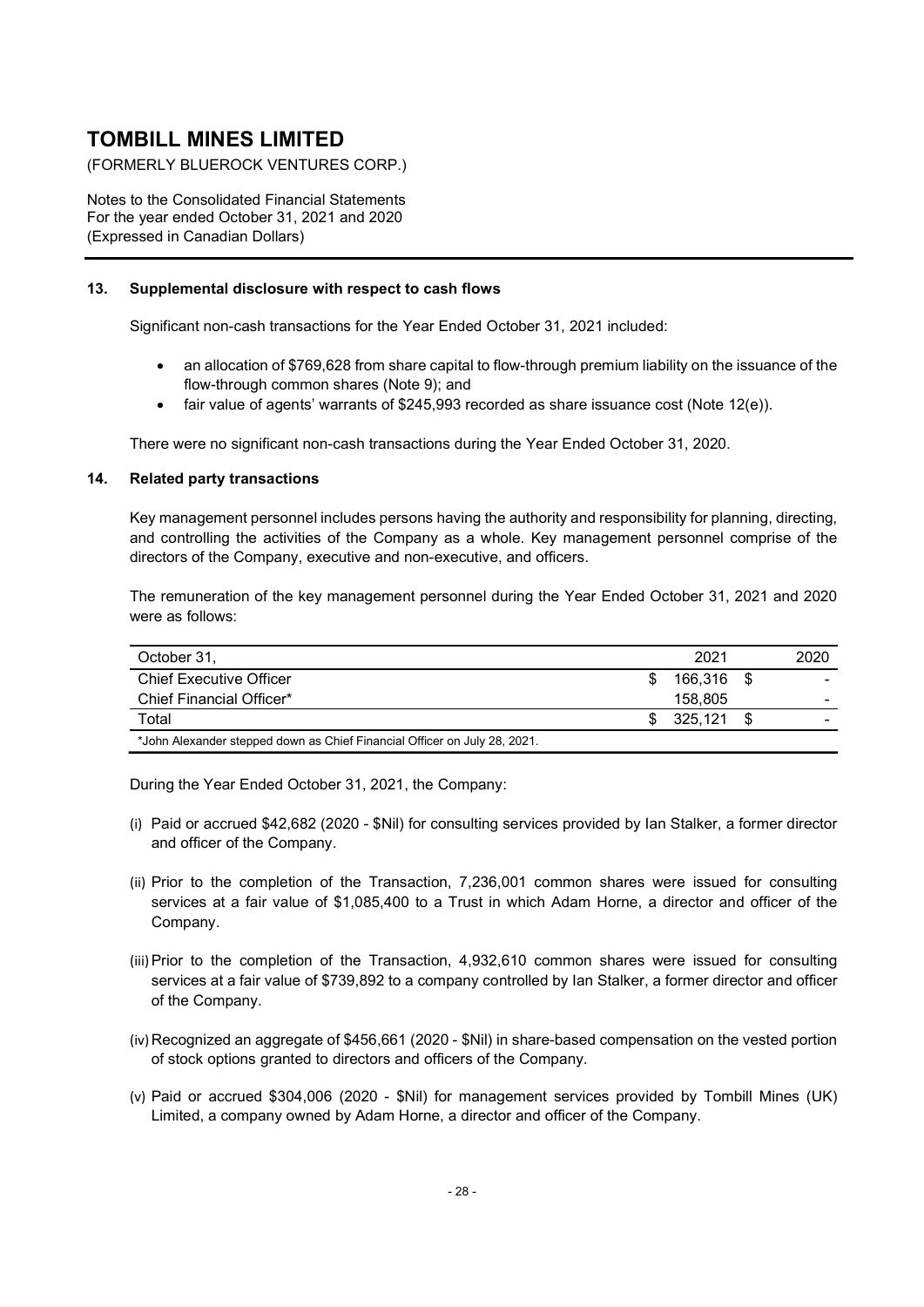(FORMERLY BLUEROCK VENTURES CORP.)

Notes to the Consolidated Financial Statements For the year ended October 31, 2021 and 2020 (Expressed in Canadian Dollars)

### 13. Supplemental disclosure with respect to cash flows

Significant non-cash transactions for the Year Ended October 31, 2021 included:

- an allocation of \$769,628 from share capital to flow-through premium liability on the issuance of the flow-through common shares (Note 9); and
- fair value of agents' warrants of \$245,993 recorded as share issuance cost (Note 12(e)).

There were no significant non-cash transactions during the Year Ended October 31, 2020.

### 14. Related party transactions

Key management personnel includes persons having the authority and responsibility for planning, directing, and controlling the activities of the Company as a whole. Key management personnel comprise of the directors of the Company, executive and non-executive, and officers.

The remuneration of the key management personnel during the Year Ended October 31, 2021 and 2020 were as follows:

| October 31.                                                               | 2021       | 2020 |
|---------------------------------------------------------------------------|------------|------|
| <b>Chief Executive Officer</b>                                            | 166.316 \$ | -    |
| Chief Financial Officer*                                                  | 158.805    |      |
| Total                                                                     | 325.121    | -    |
| *John Alexander stepped down as Chief Financial Officer on July 28, 2021. |            |      |

During the Year Ended October 31, 2021, the Company:

- (i) Paid or accrued \$42,682 (2020 \$Nil) for consulting services provided by Ian Stalker, a former director and officer of the Company.
- (ii) Prior to the completion of the Transaction, 7,236,001 common shares were issued for consulting services at a fair value of \$1,085,400 to a Trust in which Adam Horne, a director and officer of the Company.
- (iii) Prior to the completion of the Transaction, 4,932,610 common shares were issued for consulting services at a fair value of \$739,892 to a company controlled by Ian Stalker, a former director and officer of the Company.
- (iv) Recognized an aggregate of \$456,661 (2020 \$Nil) in share-based compensation on the vested portion of stock options granted to directors and officers of the Company.
- (v) Paid or accrued \$304,006 (2020 \$Nil) for management services provided by Tombill Mines (UK) Limited, a company owned by Adam Horne, a director and officer of the Company.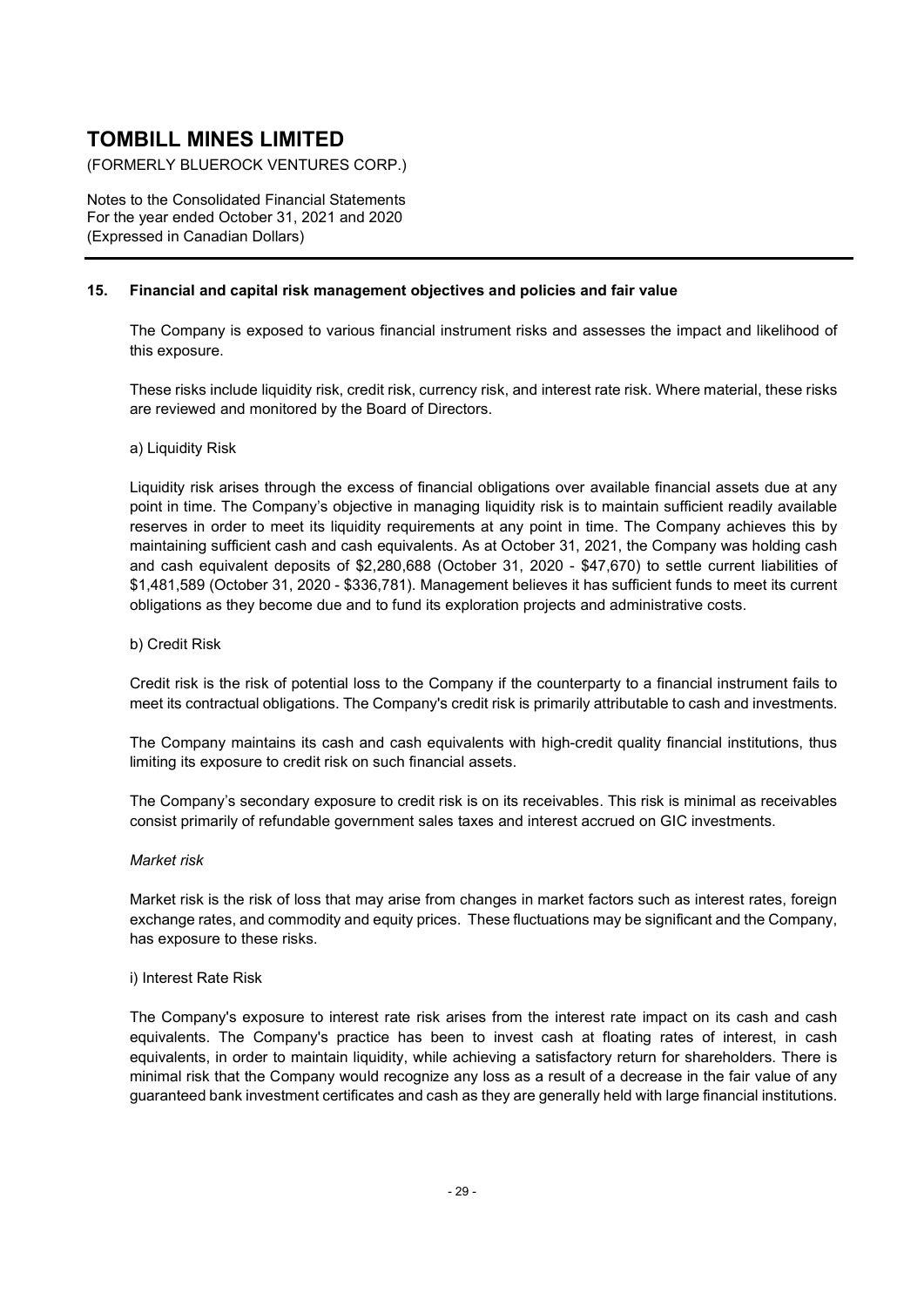(FORMERLY BLUEROCK VENTURES CORP.)

Notes to the Consolidated Financial Statements For the year ended October 31, 2021 and 2020 (Expressed in Canadian Dollars)

# 15. Financial and capital risk management objectives and policies and fair value

The Company is exposed to various financial instrument risks and assesses the impact and likelihood of this exposure.

These risks include liquidity risk, credit risk, currency risk, and interest rate risk. Where material, these risks are reviewed and monitored by the Board of Directors.

### a) Liquidity Risk

Liquidity risk arises through the excess of financial obligations over available financial assets due at any point in time. The Company's objective in managing liquidity risk is to maintain sufficient readily available reserves in order to meet its liquidity requirements at any point in time. The Company achieves this by maintaining sufficient cash and cash equivalents. As at October 31, 2021, the Company was holding cash and cash equivalent deposits of \$2,280,688 (October 31, 2020 - \$47,670) to settle current liabilities of \$1,481,589 (October 31, 2020 - \$336,781). Management believes it has sufficient funds to meet its current obligations as they become due and to fund its exploration projects and administrative costs.

### b) Credit Risk

Credit risk is the risk of potential loss to the Company if the counterparty to a financial instrument fails to meet its contractual obligations. The Company's credit risk is primarily attributable to cash and investments.

The Company maintains its cash and cash equivalents with high-credit quality financial institutions, thus limiting its exposure to credit risk on such financial assets.

The Company's secondary exposure to credit risk is on its receivables. This risk is minimal as receivables consist primarily of refundable government sales taxes and interest accrued on GIC investments.

### Market risk

Market risk is the risk of loss that may arise from changes in market factors such as interest rates, foreign exchange rates, and commodity and equity prices. These fluctuations may be significant and the Company, has exposure to these risks.

### i) Interest Rate Risk

The Company's exposure to interest rate risk arises from the interest rate impact on its cash and cash equivalents. The Company's practice has been to invest cash at floating rates of interest, in cash equivalents, in order to maintain liquidity, while achieving a satisfactory return for shareholders. There is minimal risk that the Company would recognize any loss as a result of a decrease in the fair value of any guaranteed bank investment certificates and cash as they are generally held with large financial institutions.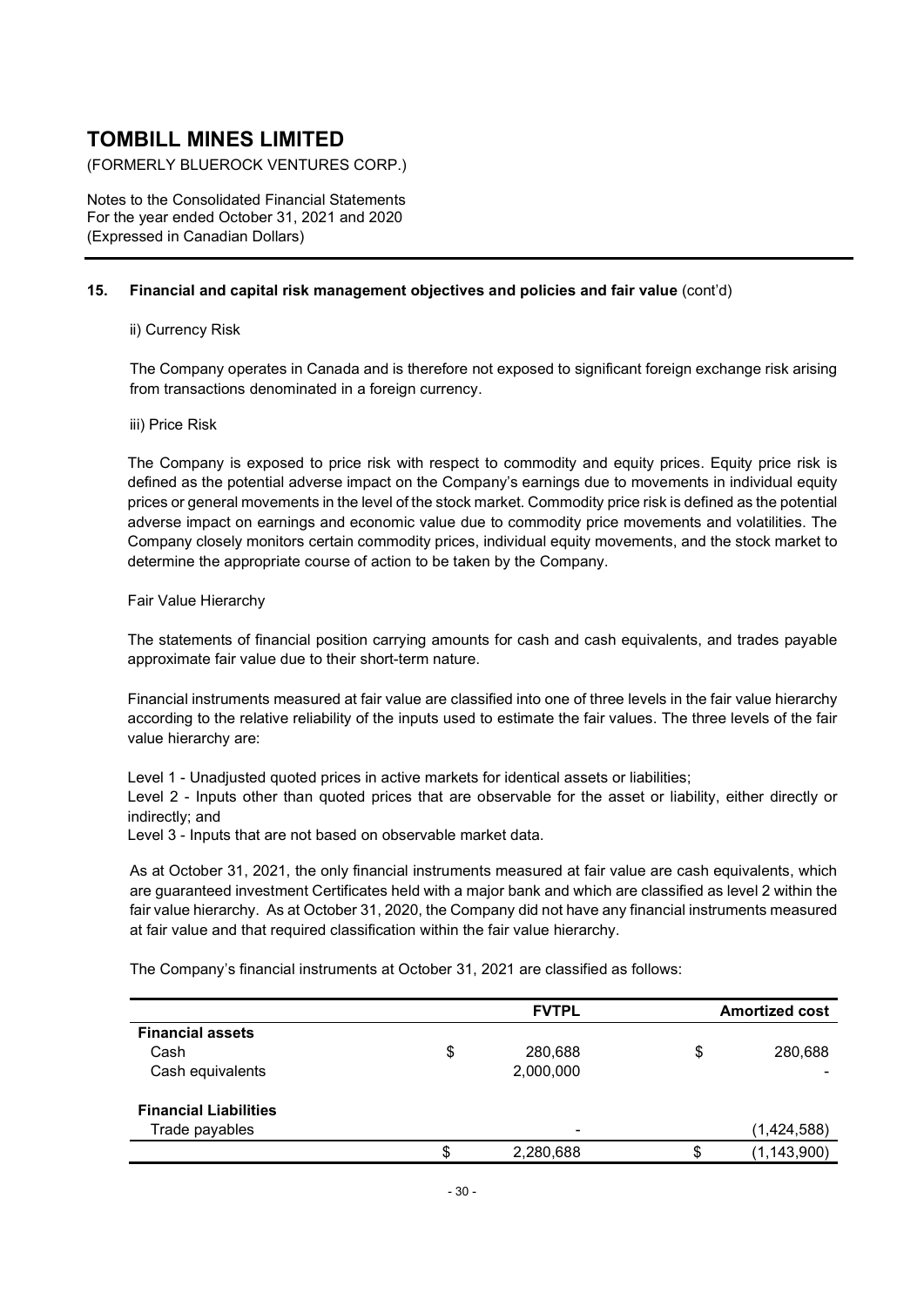(FORMERLY BLUEROCK VENTURES CORP.)

Notes to the Consolidated Financial Statements For the year ended October 31, 2021 and 2020 (Expressed in Canadian Dollars)

# 15. Financial and capital risk management objectives and policies and fair value (cont'd)

# ii) Currency Risk

The Company operates in Canada and is therefore not exposed to significant foreign exchange risk arising from transactions denominated in a foreign currency.

### iii) Price Risk

The Company is exposed to price risk with respect to commodity and equity prices. Equity price risk is defined as the potential adverse impact on the Company's earnings due to movements in individual equity prices or general movements in the level of the stock market. Commodity price risk is defined as the potential adverse impact on earnings and economic value due to commodity price movements and volatilities. The Company closely monitors certain commodity prices, individual equity movements, and the stock market to determine the appropriate course of action to be taken by the Company.

### Fair Value Hierarchy

The statements of financial position carrying amounts for cash and cash equivalents, and trades payable approximate fair value due to their short-term nature.

Financial instruments measured at fair value are classified into one of three levels in the fair value hierarchy according to the relative reliability of the inputs used to estimate the fair values. The three levels of the fair value hierarchy are:

Level 1 - Unadjusted quoted prices in active markets for identical assets or liabilities;

Level 2 - Inputs other than quoted prices that are observable for the asset or liability, either directly or indirectly; and

Level 3 - Inputs that are not based on observable market data.

As at October 31, 2021, the only financial instruments measured at fair value are cash equivalents, which are guaranteed investment Certificates held with a major bank and which are classified as level 2 within the fair value hierarchy. As at October 31, 2020, the Company did not have any financial instruments measured at fair value and that required classification within the fair value hierarchy.

The Company's financial instruments at October 31, 2021 are classified as follows:

|                              |    | <b>FVTPL</b> | <b>Amortized cost</b> |
|------------------------------|----|--------------|-----------------------|
| <b>Financial assets</b>      |    |              |                       |
| Cash                         | \$ | 280,688      | \$<br>280,688         |
| Cash equivalents             |    | 2,000,000    |                       |
| <b>Financial Liabilities</b> |    |              |                       |
| Trade payables               |    | -            | (1,424,588)           |
|                              | S  | 2,280,688    | \$<br>(1, 143, 900)   |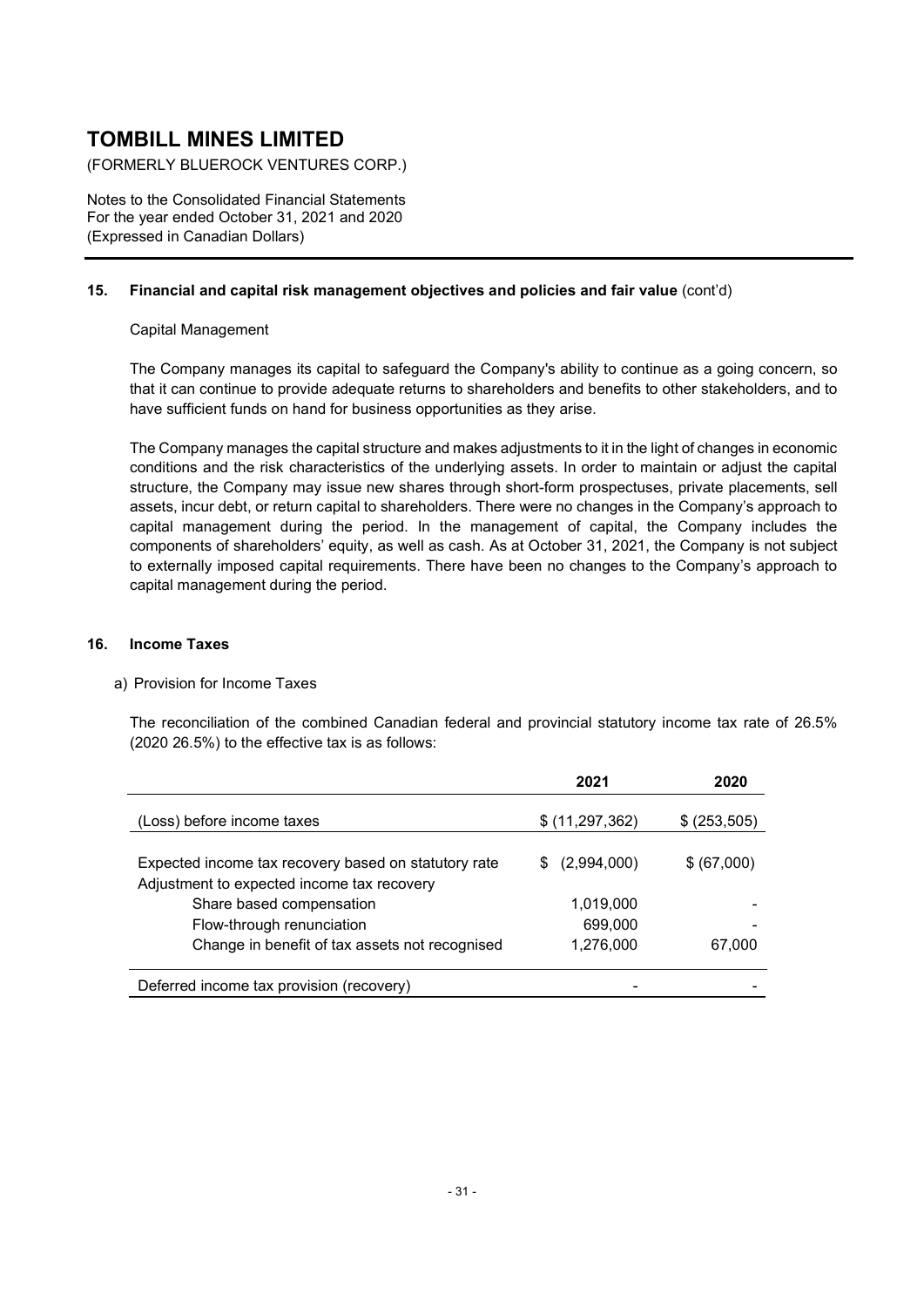(FORMERLY BLUEROCK VENTURES CORP.)

Notes to the Consolidated Financial Statements For the year ended October 31, 2021 and 2020 (Expressed in Canadian Dollars)

# 15. Financial and capital risk management objectives and policies and fair value (cont'd)

### Capital Management

The Company manages its capital to safeguard the Company's ability to continue as a going concern, so that it can continue to provide adequate returns to shareholders and benefits to other stakeholders, and to have sufficient funds on hand for business opportunities as they arise.

The Company manages the capital structure and makes adjustments to it in the light of changes in economic conditions and the risk characteristics of the underlying assets. In order to maintain or adjust the capital structure, the Company may issue new shares through short-form prospectuses, private placements, sell assets, incur debt, or return capital to shareholders. There were no changes in the Company's approach to capital management during the period. In the management of capital, the Company includes the components of shareholders' equity, as well as cash. As at October 31, 2021, the Company is not subject to externally imposed capital requirements. There have been no changes to the Company's approach to capital management during the period.

### 16. Income Taxes

# a) Provision for Income Taxes

The reconciliation of the combined Canadian federal and provincial statutory income tax rate of 26.5% (2020 26.5%) to the effective tax is as follows:

|                                                                                                    | 2021              | 2020        |
|----------------------------------------------------------------------------------------------------|-------------------|-------------|
| (Loss) before income taxes                                                                         | \$ (11, 297, 362) | \$(253,505) |
| Expected income tax recovery based on statutory rate<br>Adjustment to expected income tax recovery | (2,994,000)<br>S  | \$(67,000)  |
| Share based compensation                                                                           | 1,019,000         |             |
| Flow-through renunciation                                                                          | 699,000           |             |
| Change in benefit of tax assets not recognised                                                     | 1,276,000         | 67,000      |
| Deferred income tax provision (recovery)                                                           |                   |             |